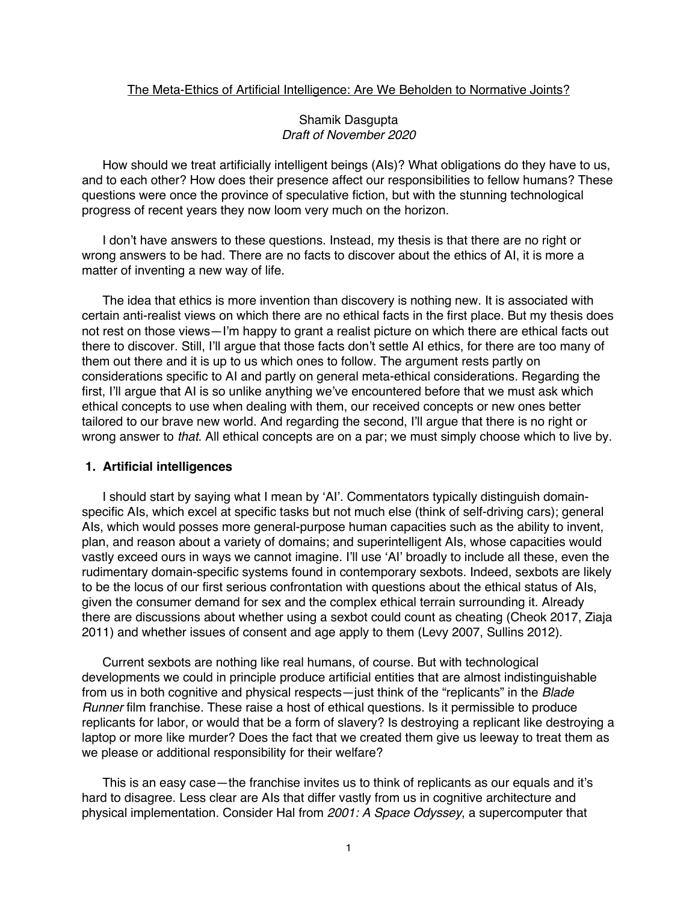### The Meta-Ethics of Artificial Intelligence: Are We Beholden to Normative Joints?

## Shamik Dasgupta *Draft of November 2020*

How should we treat artificially intelligent beings (AIs)? What obligations do they have to us, and to each other? How does their presence affect our responsibilities to fellow humans? These questions were once the province of speculative fiction, but with the stunning technological progress of recent years they now loom very much on the horizon.

I don't have answers to these questions. Instead, my thesis is that there are no right or wrong answers to be had. There are no facts to discover about the ethics of AI, it is more a matter of inventing a new way of life.

The idea that ethics is more invention than discovery is nothing new. It is associated with certain anti-realist views on which there are no ethical facts in the first place. But my thesis does not rest on those views—I'm happy to grant a realist picture on which there are ethical facts out there to discover. Still, I'll argue that those facts don't settle AI ethics, for there are too many of them out there and it is up to us which ones to follow. The argument rests partly on considerations specific to AI and partly on general meta-ethical considerations. Regarding the first, I'll argue that AI is so unlike anything we've encountered before that we must ask which ethical concepts to use when dealing with them, our received concepts or new ones better tailored to our brave new world. And regarding the second, I'll argue that there is no right or wrong answer to *that*. All ethical concepts are on a par; we must simply choose which to live by.

#### **1. Artificial intelligences**

I should start by saying what I mean by 'AI'. Commentators typically distinguish domainspecific AIs, which excel at specific tasks but not much else (think of self-driving cars); general AIs, which would posses more general-purpose human capacities such as the ability to invent, plan, and reason about a variety of domains; and superintelligent AIs, whose capacities would vastly exceed ours in ways we cannot imagine. I'll use 'AI' broadly to include all these, even the rudimentary domain-specific systems found in contemporary sexbots. Indeed, sexbots are likely to be the locus of our first serious confrontation with questions about the ethical status of AIs, given the consumer demand for sex and the complex ethical terrain surrounding it. Already there are discussions about whether using a sexbot could count as cheating (Cheok 2017, Ziaja 2011) and whether issues of consent and age apply to them (Levy 2007, Sullins 2012).

Current sexbots are nothing like real humans, of course. But with technological developments we could in principle produce artificial entities that are almost indistinguishable from us in both cognitive and physical respects—just think of the "replicants" in the *Blade Runner* film franchise. These raise a host of ethical questions. Is it permissible to produce replicants for labor, or would that be a form of slavery? Is destroying a replicant like destroying a laptop or more like murder? Does the fact that we created them give us leeway to treat them as we please or additional responsibility for their welfare?

This is an easy case—the franchise invites us to think of replicants as our equals and it's hard to disagree. Less clear are AIs that differ vastly from us in cognitive architecture and physical implementation. Consider Hal from *2001: A Space Odyssey*, a supercomputer that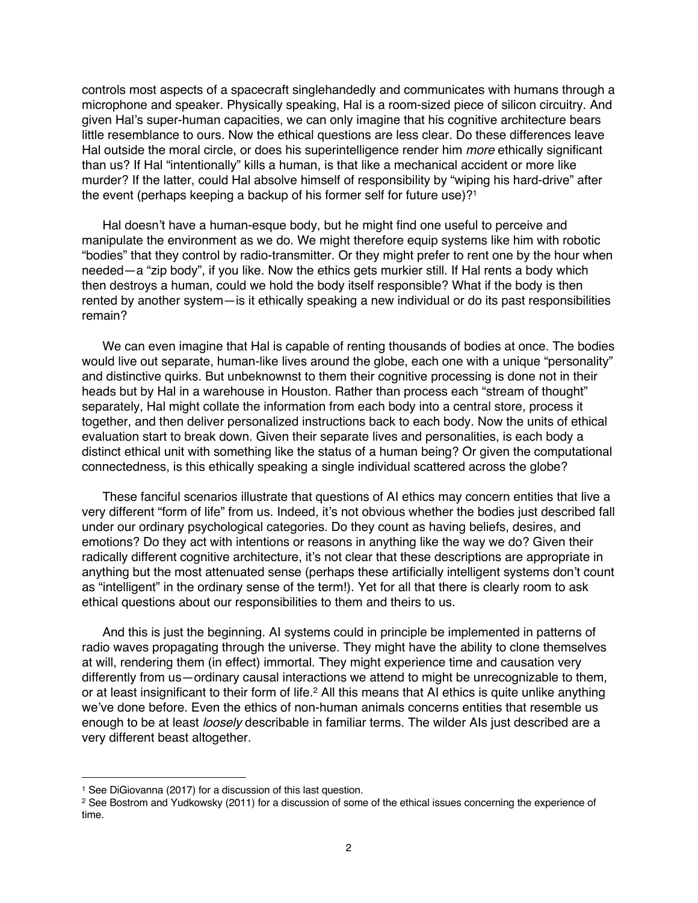controls most aspects of a spacecraft singlehandedly and communicates with humans through a microphone and speaker. Physically speaking, Hal is a room-sized piece of silicon circuitry. And given Hal's super-human capacities, we can only imagine that his cognitive architecture bears little resemblance to ours. Now the ethical questions are less clear. Do these differences leave Hal outside the moral circle, or does his superintelligence render him *more* ethically significant than us? If Hal "intentionally" kills a human, is that like a mechanical accident or more like murder? If the latter, could Hal absolve himself of responsibility by "wiping his hard-drive" after the event (perhaps keeping a backup of his former self for future use)?<sup>1</sup>

Hal doesn't have a human-esque body, but he might find one useful to perceive and manipulate the environment as we do. We might therefore equip systems like him with robotic "bodies" that they control by radio-transmitter. Or they might prefer to rent one by the hour when needed—a "zip body", if you like. Now the ethics gets murkier still. If Hal rents a body which then destroys a human, could we hold the body itself responsible? What if the body is then rented by another system—is it ethically speaking a new individual or do its past responsibilities remain?

We can even imagine that Hal is capable of renting thousands of bodies at once. The bodies would live out separate, human-like lives around the globe, each one with a unique "personality" and distinctive quirks. But unbeknownst to them their cognitive processing is done not in their heads but by Hal in a warehouse in Houston. Rather than process each "stream of thought" separately, Hal might collate the information from each body into a central store, process it together, and then deliver personalized instructions back to each body. Now the units of ethical evaluation start to break down. Given their separate lives and personalities, is each body a distinct ethical unit with something like the status of a human being? Or given the computational connectedness, is this ethically speaking a single individual scattered across the globe?

These fanciful scenarios illustrate that questions of AI ethics may concern entities that live a very different "form of life" from us. Indeed, it's not obvious whether the bodies just described fall under our ordinary psychological categories. Do they count as having beliefs, desires, and emotions? Do they act with intentions or reasons in anything like the way we do? Given their radically different cognitive architecture, it's not clear that these descriptions are appropriate in anything but the most attenuated sense (perhaps these artificially intelligent systems don't count as "intelligent" in the ordinary sense of the term!). Yet for all that there is clearly room to ask ethical questions about our responsibilities to them and theirs to us.

And this is just the beginning. AI systems could in principle be implemented in patterns of radio waves propagating through the universe. They might have the ability to clone themselves at will, rendering them (in effect) immortal. They might experience time and causation very differently from us—ordinary causal interactions we attend to might be unrecognizable to them, or at least insignificant to their form of life.<sup>2</sup> All this means that AI ethics is quite unlike anything we've done before. Even the ethics of non-human animals concerns entities that resemble us enough to be at least *loosely* describable in familiar terms. The wilder AIs just described are a very different beast altogether.

<sup>1</sup> See DiGiovanna (2017) for a discussion of this last question.

<sup>&</sup>lt;sup>2</sup> See Bostrom and Yudkowsky (2011) for a discussion of some of the ethical issues concerning the experience of time.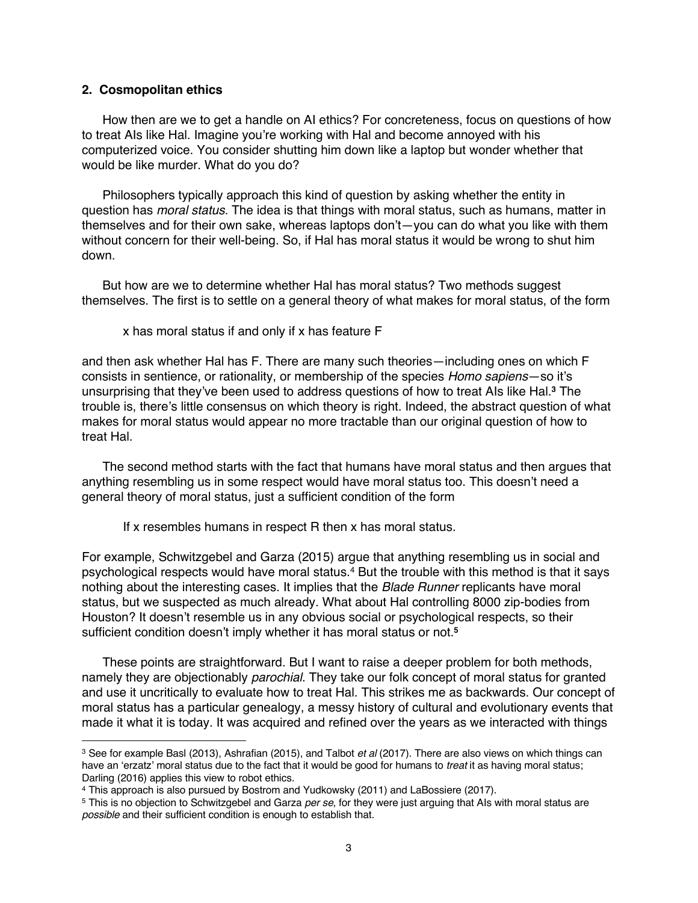### **2. Cosmopolitan ethics**

How then are we to get a handle on AI ethics? For concreteness, focus on questions of how to treat AIs like Hal. Imagine you're working with Hal and become annoyed with his computerized voice. You consider shutting him down like a laptop but wonder whether that would be like murder. What do you do?

Philosophers typically approach this kind of question by asking whether the entity in question has *moral status*. The idea is that things with moral status, such as humans, matter in themselves and for their own sake, whereas laptops don't—you can do what you like with them without concern for their well-being. So, if Hal has moral status it would be wrong to shut him down.

But how are we to determine whether Hal has moral status? Two methods suggest themselves. The first is to settle on a general theory of what makes for moral status, of the form

x has moral status if and only if x has feature F

and then ask whether Hal has F. There are many such theories—including ones on which F consists in sentience, or rationality, or membership of the species *Homo sapiens*—so it's unsurprising that they've been used to address questions of how to treat AIs like Hal.**<sup>3</sup>** The trouble is, there's little consensus on which theory is right. Indeed, the abstract question of what makes for moral status would appear no more tractable than our original question of how to treat Hal.

The second method starts with the fact that humans have moral status and then argues that anything resembling us in some respect would have moral status too. This doesn't need a general theory of moral status, just a sufficient condition of the form

If x resembles humans in respect R then x has moral status.

For example, Schwitzgebel and Garza (2015) argue that anything resembling us in social and psychological respects would have moral status.4 But the trouble with this method is that it says nothing about the interesting cases. It implies that the *Blade Runner* replicants have moral status, but we suspected as much already. What about Hal controlling 8000 zip-bodies from Houston? It doesn't resemble us in any obvious social or psychological respects, so their sufficient condition doesn't imply whether it has moral status or not. **5**

These points are straightforward. But I want to raise a deeper problem for both methods, namely they are objectionably *parochial*. They take our folk concept of moral status for granted and use it uncritically to evaluate how to treat Hal. This strikes me as backwards. Our concept of moral status has a particular genealogy, a messy history of cultural and evolutionary events that made it what it is today. It was acquired and refined over the years as we interacted with things

<sup>3</sup> See for example Basl (2013), Ashrafian (2015), and Talbot *et al* (2017). There are also views on which things can have an 'erzatz' moral status due to the fact that it would be good for humans to *treat* it as having moral status; Darling (2016) applies this view to robot ethics.

<sup>4</sup> This approach is also pursued by Bostrom and Yudkowsky (2011) and LaBossiere (2017).

<sup>5</sup> This is no objection to Schwitzgebel and Garza *per se*, for they were just arguing that AIs with moral status are *possible* and their sufficient condition is enough to establish that.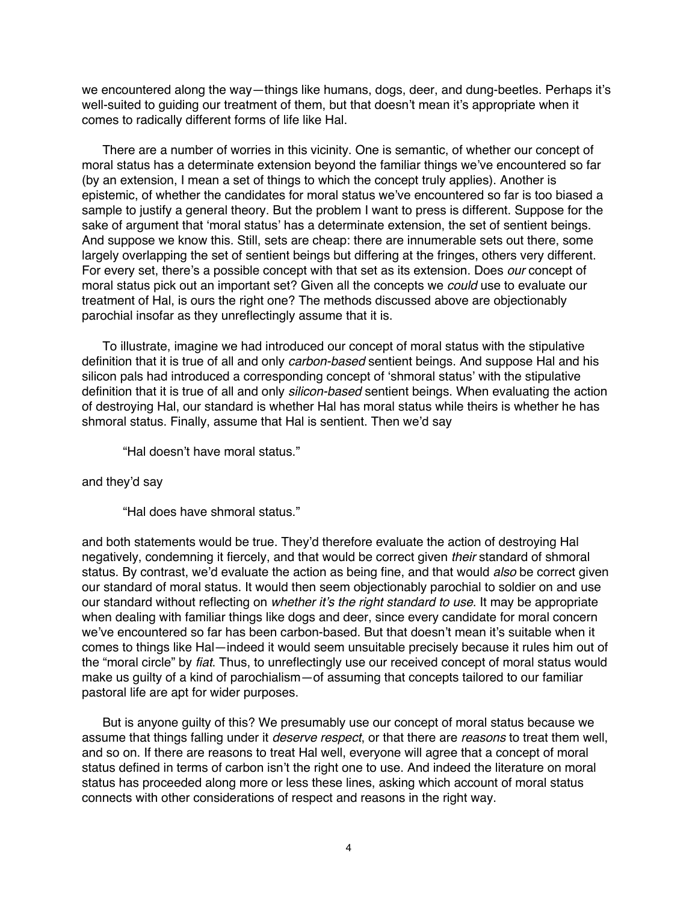we encountered along the way—things like humans, dogs, deer, and dung-beetles. Perhaps it's well-suited to guiding our treatment of them, but that doesn't mean it's appropriate when it comes to radically different forms of life like Hal.

There are a number of worries in this vicinity. One is semantic, of whether our concept of moral status has a determinate extension beyond the familiar things we've encountered so far (by an extension, I mean a set of things to which the concept truly applies). Another is epistemic, of whether the candidates for moral status we've encountered so far is too biased a sample to justify a general theory. But the problem I want to press is different. Suppose for the sake of argument that 'moral status' has a determinate extension, the set of sentient beings. And suppose we know this. Still, sets are cheap: there are innumerable sets out there, some largely overlapping the set of sentient beings but differing at the fringes, others very different. For every set, there's a possible concept with that set as its extension. Does *our* concept of moral status pick out an important set? Given all the concepts we *could* use to evaluate our treatment of Hal, is ours the right one? The methods discussed above are objectionably parochial insofar as they unreflectingly assume that it is.

To illustrate, imagine we had introduced our concept of moral status with the stipulative definition that it is true of all and only *carbon-based* sentient beings. And suppose Hal and his silicon pals had introduced a corresponding concept of 'shmoral status' with the stipulative definition that it is true of all and only *silicon-based* sentient beings. When evaluating the action of destroying Hal, our standard is whether Hal has moral status while theirs is whether he has shmoral status. Finally, assume that Hal is sentient. Then we'd say

"Hal doesn't have moral status."

#### and they'd say

"Hal does have shmoral status."

and both statements would be true. They'd therefore evaluate the action of destroying Hal negatively, condemning it fiercely, and that would be correct given *their* standard of shmoral status. By contrast, we'd evaluate the action as being fine, and that would *also* be correct given our standard of moral status. It would then seem objectionably parochial to soldier on and use our standard without reflecting on *whether it's the right standard to use*. It may be appropriate when dealing with familiar things like dogs and deer, since every candidate for moral concern we've encountered so far has been carbon-based. But that doesn't mean it's suitable when it comes to things like Hal—indeed it would seem unsuitable precisely because it rules him out of the "moral circle" by *fiat*. Thus, to unreflectingly use our received concept of moral status would make us guilty of a kind of parochialism—of assuming that concepts tailored to our familiar pastoral life are apt for wider purposes.

But is anyone guilty of this? We presumably use our concept of moral status because we assume that things falling under it *deserve respect*, or that there are *reasons* to treat them well, and so on. If there are reasons to treat Hal well, everyone will agree that a concept of moral status defined in terms of carbon isn't the right one to use. And indeed the literature on moral status has proceeded along more or less these lines, asking which account of moral status connects with other considerations of respect and reasons in the right way.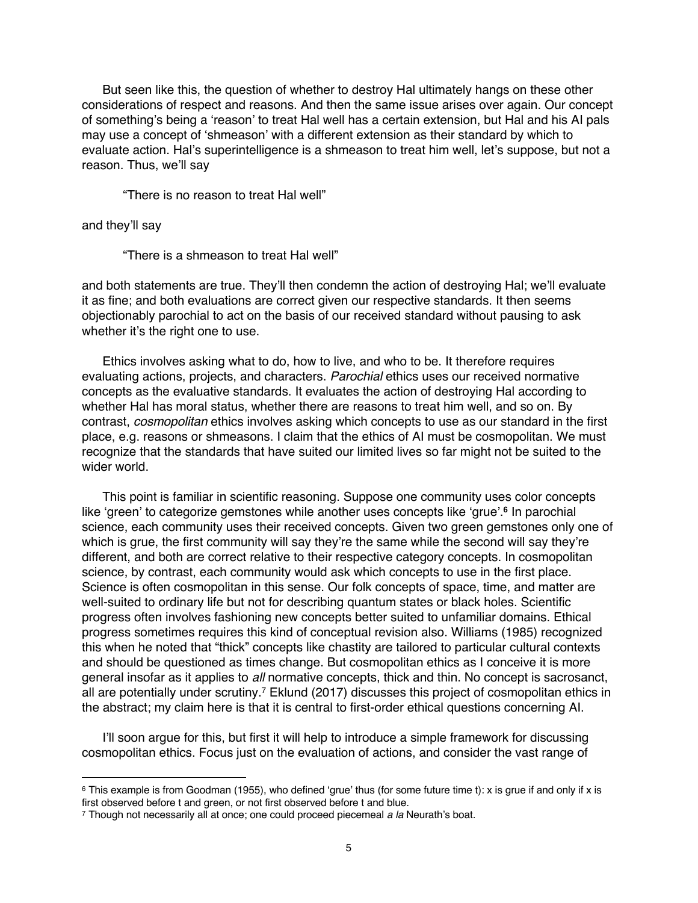But seen like this, the question of whether to destroy Hal ultimately hangs on these other considerations of respect and reasons. And then the same issue arises over again. Our concept of something's being a 'reason' to treat Hal well has a certain extension, but Hal and his AI pals may use a concept of 'shmeason' with a different extension as their standard by which to evaluate action. Hal's superintelligence is a shmeason to treat him well, let's suppose, but not a reason. Thus, we'll say

"There is no reason to treat Hal well"

and they'll say

"There is a shmeason to treat Hal well"

and both statements are true. They'll then condemn the action of destroying Hal; we'll evaluate it as fine; and both evaluations are correct given our respective standards. It then seems objectionably parochial to act on the basis of our received standard without pausing to ask whether it's the right one to use.

Ethics involves asking what to do, how to live, and who to be. It therefore requires evaluating actions, projects, and characters. *Parochial* ethics uses our received normative concepts as the evaluative standards. It evaluates the action of destroying Hal according to whether Hal has moral status, whether there are reasons to treat him well, and so on. By contrast, *cosmopolitan* ethics involves asking which concepts to use as our standard in the first place, e.g. reasons or shmeasons. I claim that the ethics of AI must be cosmopolitan. We must recognize that the standards that have suited our limited lives so far might not be suited to the wider world.

This point is familiar in scientific reasoning. Suppose one community uses color concepts like 'green' to categorize gemstones while another uses concepts like 'grue'.**<sup>6</sup>** In parochial science, each community uses their received concepts. Given two green gemstones only one of which is grue, the first community will say they're the same while the second will say they're different, and both are correct relative to their respective category concepts. In cosmopolitan science, by contrast, each community would ask which concepts to use in the first place. Science is often cosmopolitan in this sense. Our folk concepts of space, time, and matter are well-suited to ordinary life but not for describing quantum states or black holes. Scientific progress often involves fashioning new concepts better suited to unfamiliar domains. Ethical progress sometimes requires this kind of conceptual revision also. Williams (1985) recognized this when he noted that "thick" concepts like chastity are tailored to particular cultural contexts and should be questioned as times change. But cosmopolitan ethics as I conceive it is more general insofar as it applies to *all* normative concepts, thick and thin. No concept is sacrosanct, all are potentially under scrutiny.<sup>7</sup> Eklund (2017) discusses this project of cosmopolitan ethics in the abstract; my claim here is that it is central to first-order ethical questions concerning AI.

I'll soon argue for this, but first it will help to introduce a simple framework for discussing cosmopolitan ethics. Focus just on the evaluation of actions, and consider the vast range of

<sup>&</sup>lt;sup>6</sup> This example is from Goodman (1955), who defined 'grue' thus (for some future time t): x is grue if and only if x is first observed before t and green, or not first observed before t and blue.

<sup>7</sup> Though not necessarily all at once; one could proceed piecemeal *a la* Neurath's boat.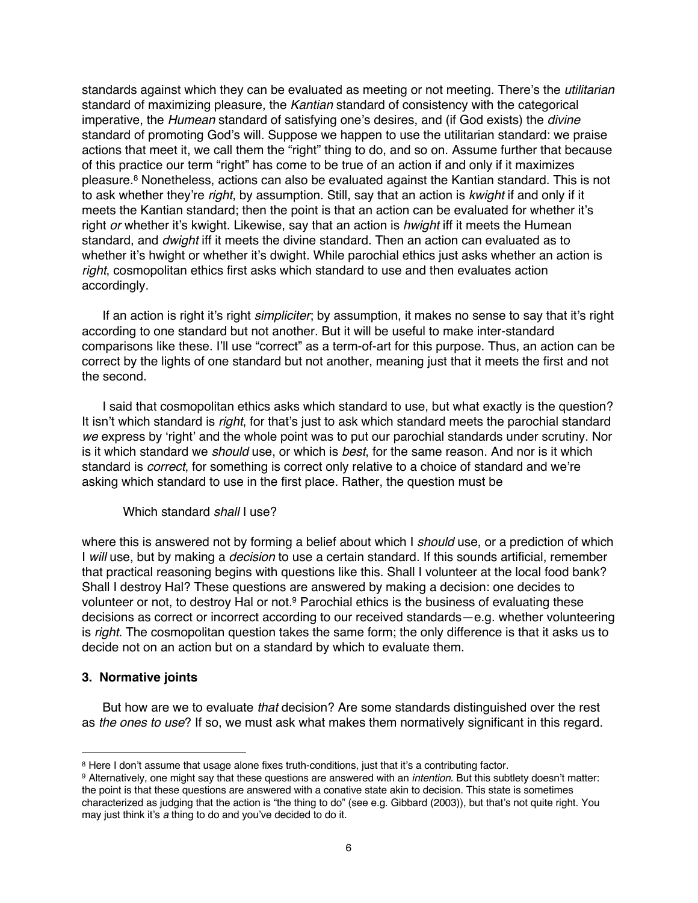standards against which they can be evaluated as meeting or not meeting. There's the *utilitarian* standard of maximizing pleasure, the *Kantian* standard of consistency with the categorical imperative, the *Humean* standard of satisfying one's desires, and (if God exists) the *divine* standard of promoting God's will. Suppose we happen to use the utilitarian standard: we praise actions that meet it, we call them the "right" thing to do, and so on. Assume further that because of this practice our term "right" has come to be true of an action if and only if it maximizes pleasure.8 Nonetheless, actions can also be evaluated against the Kantian standard. This is not to ask whether they're *right*, by assumption. Still, say that an action is *kwight* if and only if it meets the Kantian standard; then the point is that an action can be evaluated for whether it's right *or* whether it's kwight. Likewise, say that an action is *hwight* iff it meets the Humean standard, and *dwight* iff it meets the divine standard. Then an action can evaluated as to whether it's hwight or whether it's dwight. While parochial ethics just asks whether an action is *right*, cosmopolitan ethics first asks which standard to use and then evaluates action accordingly.

If an action is right it's right *simpliciter*; by assumption, it makes no sense to say that it's right according to one standard but not another. But it will be useful to make inter-standard comparisons like these. I'll use "correct" as a term-of-art for this purpose. Thus, an action can be correct by the lights of one standard but not another, meaning just that it meets the first and not the second.

I said that cosmopolitan ethics asks which standard to use, but what exactly is the question? It isn't which standard is *right*, for that's just to ask which standard meets the parochial standard *we* express by 'right' and the whole point was to put our parochial standards under scrutiny. Nor is it which standard we *should* use, or which is *best*, for the same reason. And nor is it which standard is *correct*, for something is correct only relative to a choice of standard and we're asking which standard to use in the first place. Rather, the question must be

## Which standard *shall* I use?

where this is answered not by forming a belief about which I *should* use, or a prediction of which I *will* use, but by making a *decision* to use a certain standard. If this sounds artificial, remember that practical reasoning begins with questions like this. Shall I volunteer at the local food bank? Shall I destroy Hal? These questions are answered by making a decision: one decides to volunteer or not, to destroy Hal or not. <sup>9</sup> Parochial ethics is the business of evaluating these decisions as correct or incorrect according to our received standards—e.g. whether volunteering is *right*. The cosmopolitan question takes the same form; the only difference is that it asks us to decide not on an action but on a standard by which to evaluate them.

# **3. Normative joints**

But how are we to evaluate *that* decision? Are some standards distinguished over the rest as *the ones to use*? If so, we must ask what makes them normatively significant in this regard.

<sup>8</sup> Here I don't assume that usage alone fixes truth-conditions, just that it's a contributing factor.

<sup>9</sup> Alternatively, one might say that these questions are answered with an *intention*. But this subtlety doesn't matter: the point is that these questions are answered with a conative state akin to decision. This state is sometimes characterized as judging that the action is "the thing to do" (see e.g. Gibbard (2003)), but that's not quite right. You may just think it's *a* thing to do and you've decided to do it.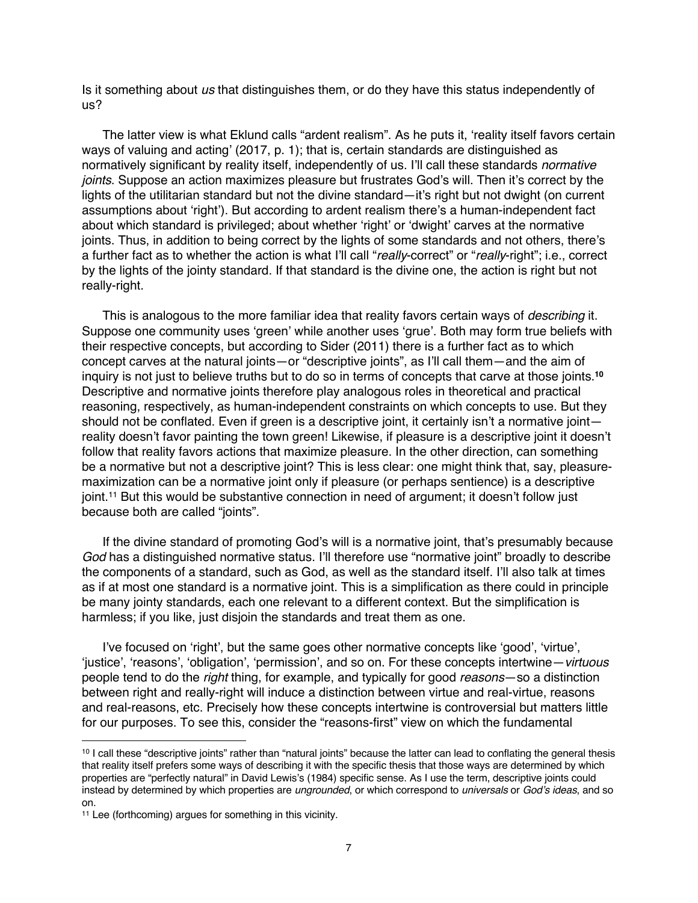Is it something about *us* that distinguishes them, or do they have this status independently of us?

The latter view is what Eklund calls "ardent realism". As he puts it, 'reality itself favors certain ways of valuing and acting' (2017, p. 1); that is, certain standards are distinguished as normatively significant by reality itself, independently of us. I'll call these standards *normative joints*. Suppose an action maximizes pleasure but frustrates God's will. Then it's correct by the lights of the utilitarian standard but not the divine standard—it's right but not dwight (on current assumptions about 'right'). But according to ardent realism there's a human-independent fact about which standard is privileged; about whether 'right' or 'dwight' carves at the normative joints. Thus, in addition to being correct by the lights of some standards and not others, there's a further fact as to whether the action is what I'll call "*really*-correct" or "*really*-right"; i.e., correct by the lights of the jointy standard. If that standard is the divine one, the action is right but not really-right.

This is analogous to the more familiar idea that reality favors certain ways of *describing* it. Suppose one community uses 'green' while another uses 'grue'. Both may form true beliefs with their respective concepts, but according to Sider (2011) there is a further fact as to which concept carves at the natural joints—or "descriptive joints", as I'll call them—and the aim of inquiry is not just to believe truths but to do so in terms of concepts that carve at those joints.**<sup>10</sup>** Descriptive and normative joints therefore play analogous roles in theoretical and practical reasoning, respectively, as human-independent constraints on which concepts to use. But they should not be conflated. Even if green is a descriptive joint, it certainly isn't a normative joint reality doesn't favor painting the town green! Likewise, if pleasure is a descriptive joint it doesn't follow that reality favors actions that maximize pleasure. In the other direction, can something be a normative but not a descriptive joint? This is less clear: one might think that, say, pleasuremaximization can be a normative joint only if pleasure (or perhaps sentience) is a descriptive joint.11 But this would be substantive connection in need of argument; it doesn't follow just because both are called "joints".

If the divine standard of promoting God's will is a normative joint, that's presumably because *God* has a distinguished normative status. I'll therefore use "normative joint" broadly to describe the components of a standard, such as God, as well as the standard itself. I'll also talk at times as if at most one standard is a normative joint. This is a simplification as there could in principle be many jointy standards, each one relevant to a different context. But the simplification is harmless; if you like, just disjoin the standards and treat them as one.

I've focused on 'right', but the same goes other normative concepts like 'good', 'virtue', 'justice', 'reasons', 'obligation', 'permission', and so on. For these concepts intertwine—*virtuous* people tend to do the *right* thing, for example, and typically for good *reasons*—so a distinction between right and really-right will induce a distinction between virtue and real-virtue, reasons and real-reasons, etc. Precisely how these concepts intertwine is controversial but matters little for our purposes. To see this, consider the "reasons-first" view on which the fundamental

<sup>10</sup> I call these "descriptive joints" rather than "natural joints" because the latter can lead to conflating the general thesis that reality itself prefers some ways of describing it with the specific thesis that those ways are determined by which properties are "perfectly natural" in David Lewis's (1984) specific sense. As I use the term, descriptive joints could instead by determined by which properties are *ungrounded*, or which correspond to *universals* or *God's ideas*, and so on.

<sup>11</sup> Lee (forthcoming) argues for something in this vicinity.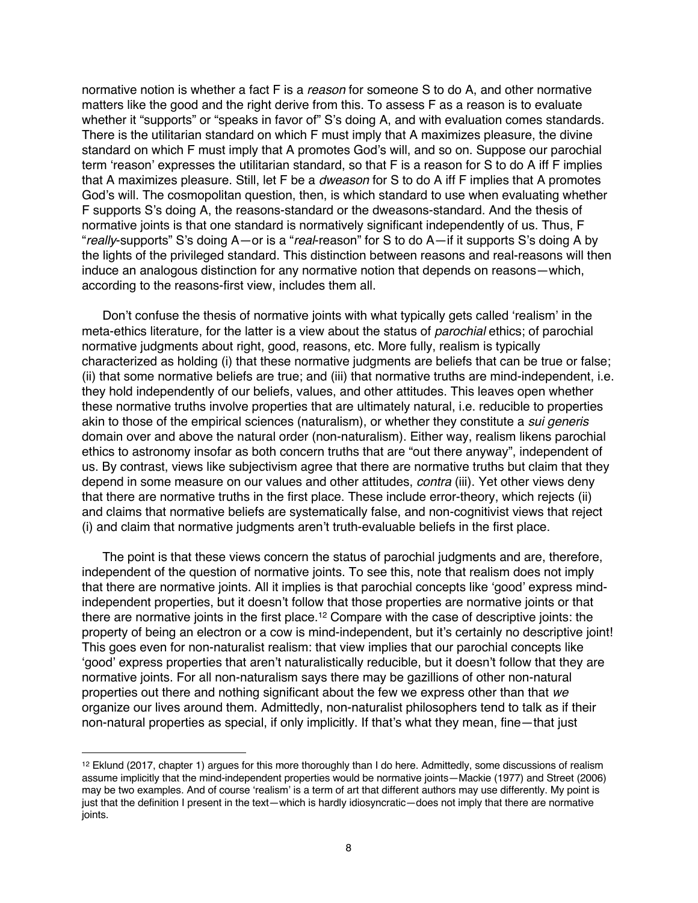normative notion is whether a fact F is a *reason* for someone S to do A, and other normative matters like the good and the right derive from this. To assess F as a reason is to evaluate whether it "supports" or "speaks in favor of" S's doing A, and with evaluation comes standards. There is the utilitarian standard on which F must imply that A maximizes pleasure, the divine standard on which F must imply that A promotes God's will, and so on. Suppose our parochial term 'reason' expresses the utilitarian standard, so that F is a reason for S to do A iff F implies that A maximizes pleasure. Still, let F be a *dweason* for S to do A iff F implies that A promotes God's will. The cosmopolitan question, then, is which standard to use when evaluating whether F supports S's doing A, the reasons-standard or the dweasons-standard. And the thesis of normative joints is that one standard is normatively significant independently of us. Thus, F "*really*-supports" S's doing A—or is a "*real*-reason" for S to do A—if it supports S's doing A by the lights of the privileged standard. This distinction between reasons and real-reasons will then induce an analogous distinction for any normative notion that depends on reasons—which, according to the reasons-first view, includes them all.

Don't confuse the thesis of normative joints with what typically gets called 'realism' in the meta-ethics literature, for the latter is a view about the status of *parochial* ethics; of parochial normative judgments about right, good, reasons, etc. More fully, realism is typically characterized as holding (i) that these normative judgments are beliefs that can be true or false; (ii) that some normative beliefs are true; and (iii) that normative truths are mind-independent, i.e. they hold independently of our beliefs, values, and other attitudes. This leaves open whether these normative truths involve properties that are ultimately natural, i.e. reducible to properties akin to those of the empirical sciences (naturalism), or whether they constitute a *sui generis* domain over and above the natural order (non-naturalism). Either way, realism likens parochial ethics to astronomy insofar as both concern truths that are "out there anyway", independent of us. By contrast, views like subjectivism agree that there are normative truths but claim that they depend in some measure on our values and other attitudes, *contra* (iii). Yet other views deny that there are normative truths in the first place. These include error-theory, which rejects (ii) and claims that normative beliefs are systematically false, and non-cognitivist views that reject (i) and claim that normative judgments aren't truth-evaluable beliefs in the first place.

The point is that these views concern the status of parochial judgments and are, therefore, independent of the question of normative joints. To see this, note that realism does not imply that there are normative joints. All it implies is that parochial concepts like 'good' express mindindependent properties, but it doesn't follow that those properties are normative joints or that there are normative joints in the first place.12 Compare with the case of descriptive joints: the property of being an electron or a cow is mind-independent, but it's certainly no descriptive joint! This goes even for non-naturalist realism: that view implies that our parochial concepts like 'good' express properties that aren't naturalistically reducible, but it doesn't follow that they are normative joints. For all non-naturalism says there may be gazillions of other non-natural properties out there and nothing significant about the few we express other than that *we* organize our lives around them. Admittedly, non-naturalist philosophers tend to talk as if their non-natural properties as special, if only implicitly. If that's what they mean, fine—that just

<sup>12</sup> Eklund (2017, chapter 1) argues for this more thoroughly than I do here. Admittedly, some discussions of realism assume implicitly that the mind-independent properties would be normative joints—Mackie (1977) and Street (2006) may be two examples. And of course 'realism' is a term of art that different authors may use differently. My point is just that the definition I present in the text—which is hardly idiosyncratic—does not imply that there are normative joints.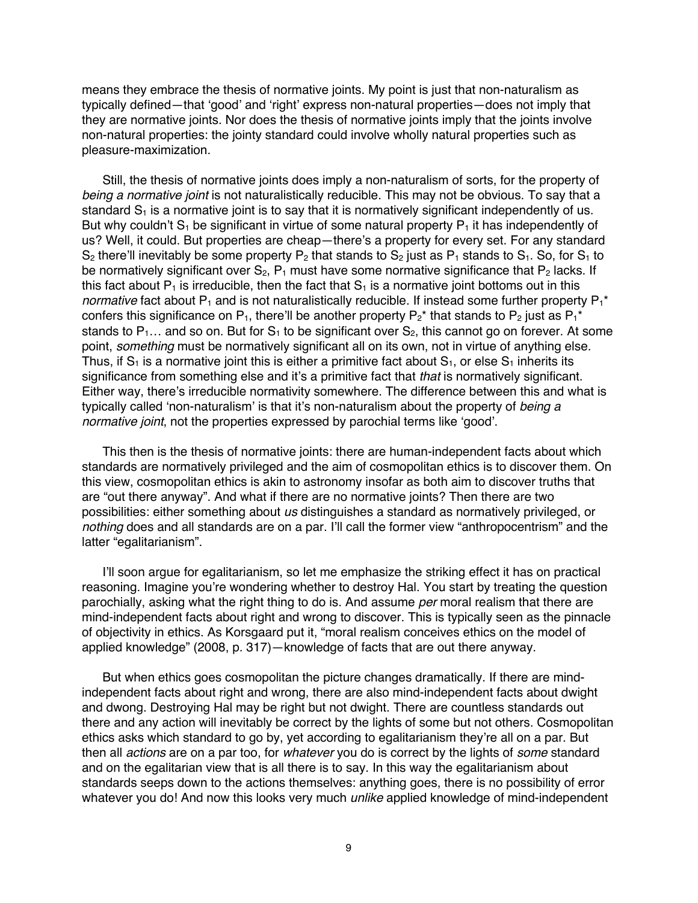means they embrace the thesis of normative joints. My point is just that non-naturalism as typically defined—that 'good' and 'right' express non-natural properties—does not imply that they are normative joints. Nor does the thesis of normative joints imply that the joints involve non-natural properties: the jointy standard could involve wholly natural properties such as pleasure-maximization.

Still, the thesis of normative joints does imply a non-naturalism of sorts, for the property of *being a normative joint* is not naturalistically reducible. This may not be obvious. To say that a standard  $S_1$  is a normative joint is to say that it is normatively significant independently of us. But why couldn't  $S_1$  be significant in virtue of some natural property  $P_1$  it has independently of us? Well, it could. But properties are cheap—there's a property for every set. For any standard  $S_2$  there'll inevitably be some property  $P_2$  that stands to  $S_2$  just as  $P_1$  stands to  $S_1$ . So, for  $S_1$  to be normatively significant over  $S_2$ ,  $P_1$  must have some normative significance that  $P_2$  lacks. If this fact about  $P_1$  is irreducible, then the fact that  $S_1$  is a normative joint bottoms out in this *normative* fact about  $P_1$  and is not naturalistically reducible. If instead some further property  $P_1^*$ confers this significance on P<sub>1</sub>, there'll be another property P<sub>2</sub><sup>\*</sup> that stands to P<sub>2</sub> just as P<sub>1</sub><sup>\*</sup> stands to  $P_1...$  and so on. But for  $S_1$  to be significant over  $S_2$ , this cannot go on forever. At some point, *something* must be normatively significant all on its own, not in virtue of anything else. Thus, if  $S_1$  is a normative joint this is either a primitive fact about  $S_1$ , or else  $S_1$  inherits its significance from something else and it's a primitive fact that *that* is normatively significant. Either way, there's irreducible normativity somewhere. The difference between this and what is typically called 'non-naturalism' is that it's non-naturalism about the property of *being a normative ioint*, not the properties expressed by parochial terms like 'good'.

This then is the thesis of normative joints: there are human-independent facts about which standards are normatively privileged and the aim of cosmopolitan ethics is to discover them. On this view, cosmopolitan ethics is akin to astronomy insofar as both aim to discover truths that are "out there anyway". And what if there are no normative joints? Then there are two possibilities: either something about *us* distinguishes a standard as normatively privileged, or *nothing* does and all standards are on a par. I'll call the former view "anthropocentrism" and the latter "egalitarianism".

I'll soon argue for egalitarianism, so let me emphasize the striking effect it has on practical reasoning. Imagine you're wondering whether to destroy Hal. You start by treating the question parochially, asking what the right thing to do is. And assume *per* moral realism that there are mind-independent facts about right and wrong to discover. This is typically seen as the pinnacle of objectivity in ethics. As Korsgaard put it, "moral realism conceives ethics on the model of applied knowledge" (2008, p. 317)—knowledge of facts that are out there anyway.

But when ethics goes cosmopolitan the picture changes dramatically. If there are mindindependent facts about right and wrong, there are also mind-independent facts about dwight and dwong. Destroying Hal may be right but not dwight. There are countless standards out there and any action will inevitably be correct by the lights of some but not others. Cosmopolitan ethics asks which standard to go by, yet according to egalitarianism they're all on a par. But then all *actions* are on a par too, for *whatever* you do is correct by the lights of *some* standard and on the egalitarian view that is all there is to say. In this way the egalitarianism about standards seeps down to the actions themselves: anything goes, there is no possibility of error whatever you do! And now this looks very much *unlike* applied knowledge of mind-independent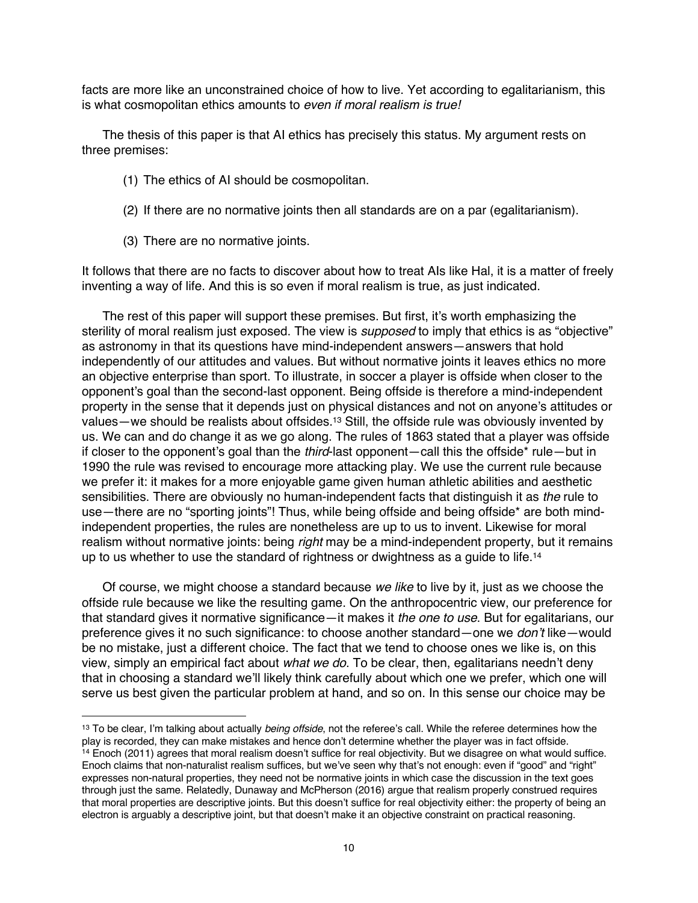facts are more like an unconstrained choice of how to live. Yet according to egalitarianism, this is what cosmopolitan ethics amounts to *even if moral realism is true!*

The thesis of this paper is that AI ethics has precisely this status. My argument rests on three premises:

- (1) The ethics of AI should be cosmopolitan.
- (2) If there are no normative joints then all standards are on a par (egalitarianism).
- (3) There are no normative joints.

It follows that there are no facts to discover about how to treat AIs like Hal, it is a matter of freely inventing a way of life. And this is so even if moral realism is true, as just indicated.

The rest of this paper will support these premises. But first, it's worth emphasizing the sterility of moral realism just exposed. The view is *supposed* to imply that ethics is as "objective" as astronomy in that its questions have mind-independent answers—answers that hold independently of our attitudes and values. But without normative joints it leaves ethics no more an objective enterprise than sport. To illustrate, in soccer a player is offside when closer to the opponent's goal than the second-last opponent. Being offside is therefore a mind-independent property in the sense that it depends just on physical distances and not on anyone's attitudes or values—we should be realists about offsides.<sup>13</sup> Still, the offside rule was obviously invented by us. We can and do change it as we go along. The rules of 1863 stated that a player was offside if closer to the opponent's goal than the *third*-last opponent—call this the offside\* rule—but in 1990 the rule was revised to encourage more attacking play. We use the current rule because we prefer it: it makes for a more enjoyable game given human athletic abilities and aesthetic sensibilities. There are obviously no human-independent facts that distinguish it as *the* rule to use—there are no "sporting joints"! Thus, while being offside and being offside\* are both mindindependent properties, the rules are nonetheless are up to us to invent. Likewise for moral realism without normative joints: being *right* may be a mind-independent property, but it remains up to us whether to use the standard of rightness or dwightness as a quide to life.<sup>14</sup>

Of course, we might choose a standard because *we like* to live by it, just as we choose the offside rule because we like the resulting game. On the anthropocentric view, our preference for that standard gives it normative significance—it makes it *the one to use*. But for egalitarians, our preference gives it no such significance: to choose another standard—one we *don't* like—would be no mistake, just a different choice. The fact that we tend to choose ones we like is, on this view, simply an empirical fact about *what we do*. To be clear, then, egalitarians needn't deny that in choosing a standard we'll likely think carefully about which one we prefer, which one will serve us best given the particular problem at hand, and so on. In this sense our choice may be

<sup>13</sup> To be clear, I'm talking about actually *being offside*, not the referee's call. While the referee determines how the play is recorded, they can make mistakes and hence don't determine whether the player was in fact offside. <sup>14</sup> Enoch (2011) agrees that moral realism doesn't suffice for real objectivity. But we disagree on what would suffice. Enoch claims that non-naturalist realism suffices, but we've seen why that's not enough: even if "good" and "right" expresses non-natural properties, they need not be normative joints in which case the discussion in the text goes through just the same. Relatedly, Dunaway and McPherson (2016) argue that realism properly construed requires that moral properties are descriptive joints. But this doesn't suffice for real objectivity either: the property of being an electron is arguably a descriptive joint, but that doesn't make it an objective constraint on practical reasoning.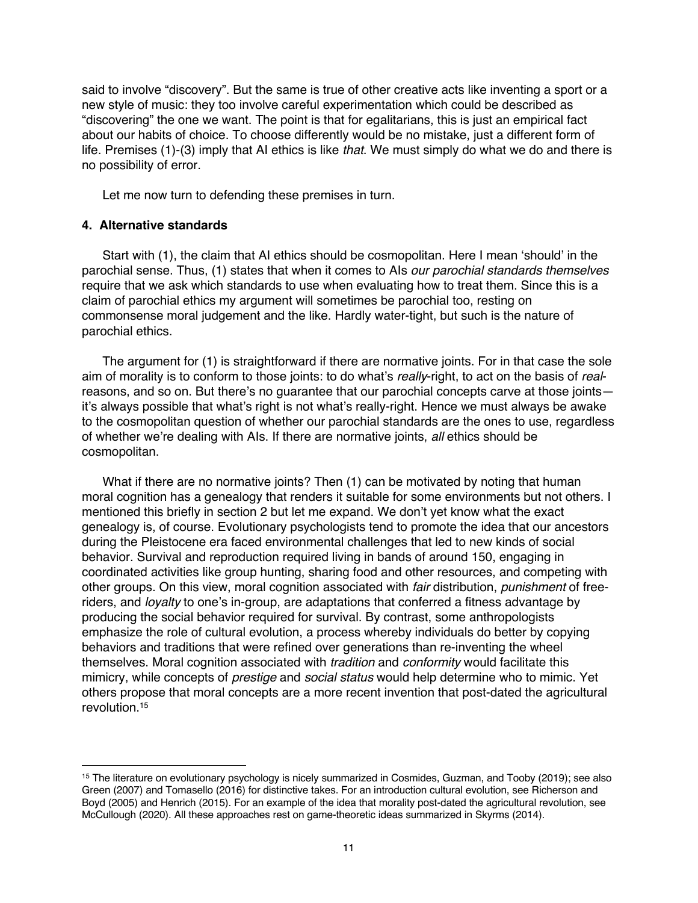said to involve "discovery". But the same is true of other creative acts like inventing a sport or a new style of music: they too involve careful experimentation which could be described as "discovering" the one we want. The point is that for egalitarians, this is just an empirical fact about our habits of choice. To choose differently would be no mistake, just a different form of life. Premises (1)-(3) imply that AI ethics is like *that*. We must simply do what we do and there is no possibility of error.

Let me now turn to defending these premises in turn.

## **4. Alternative standards**

Start with (1), the claim that AI ethics should be cosmopolitan. Here I mean 'should' in the parochial sense. Thus, (1) states that when it comes to AIs *our parochial standards themselves* require that we ask which standards to use when evaluating how to treat them. Since this is a claim of parochial ethics my argument will sometimes be parochial too, resting on commonsense moral judgement and the like. Hardly water-tight, but such is the nature of parochial ethics.

The argument for (1) is straightforward if there are normative joints. For in that case the sole aim of morality is to conform to those joints: to do what's *really*-right, to act on the basis of *real*reasons, and so on. But there's no guarantee that our parochial concepts carve at those joints it's always possible that what's right is not what's really-right. Hence we must always be awake to the cosmopolitan question of whether our parochial standards are the ones to use, regardless of whether we're dealing with AIs. If there are normative joints, *all* ethics should be cosmopolitan.

What if there are no normative joints? Then (1) can be motivated by noting that human moral cognition has a genealogy that renders it suitable for some environments but not others. I mentioned this briefly in section 2 but let me expand. We don't yet know what the exact genealogy is, of course. Evolutionary psychologists tend to promote the idea that our ancestors during the Pleistocene era faced environmental challenges that led to new kinds of social behavior. Survival and reproduction required living in bands of around 150, engaging in coordinated activities like group hunting, sharing food and other resources, and competing with other groups. On this view, moral cognition associated with *fair* distribution, *punishment* of freeriders, and *loyalty* to one's in-group, are adaptations that conferred a fitness advantage by producing the social behavior required for survival. By contrast, some anthropologists emphasize the role of cultural evolution, a process whereby individuals do better by copying behaviors and traditions that were refined over generations than re-inventing the wheel themselves. Moral cognition associated with *tradition* and *conformity* would facilitate this mimicry, while concepts of *prestige* and *social status* would help determine who to mimic. Yet others propose that moral concepts are a more recent invention that post-dated the agricultural revolution.15

<sup>15</sup> The literature on evolutionary psychology is nicely summarized in Cosmides, Guzman, and Tooby (2019); see also Green (2007) and Tomasello (2016) for distinctive takes. For an introduction cultural evolution, see Richerson and Boyd (2005) and Henrich (2015). For an example of the idea that morality post-dated the agricultural revolution, see McCullough (2020). All these approaches rest on game-theoretic ideas summarized in Skyrms (2014).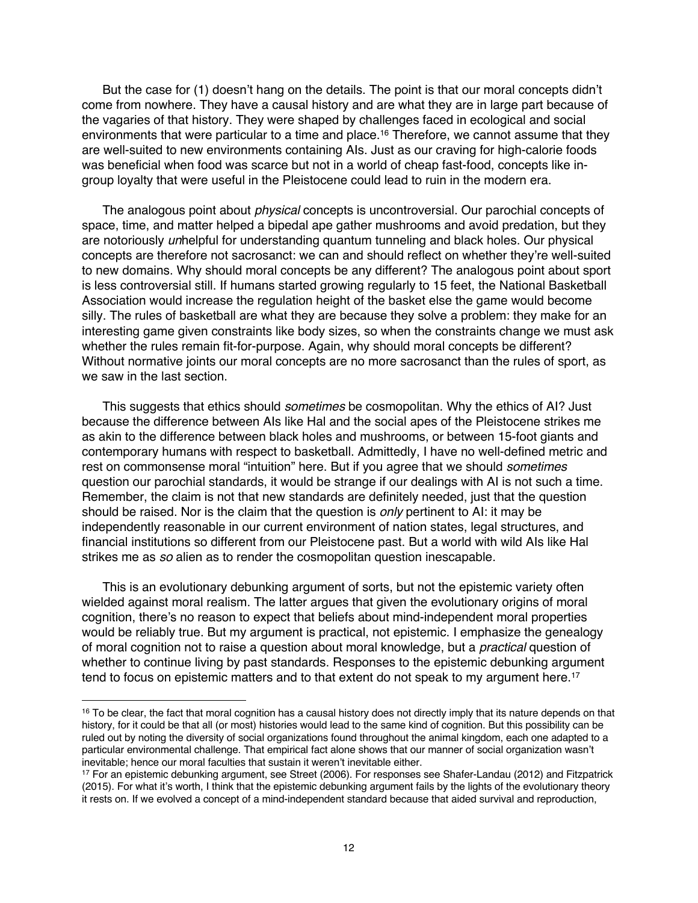But the case for (1) doesn't hang on the details. The point is that our moral concepts didn't come from nowhere. They have a causal history and are what they are in large part because of the vagaries of that history. They were shaped by challenges faced in ecological and social environments that were particular to a time and place.16 Therefore, we cannot assume that they are well-suited to new environments containing AIs. Just as our craving for high-calorie foods was beneficial when food was scarce but not in a world of cheap fast-food, concepts like ingroup loyalty that were useful in the Pleistocene could lead to ruin in the modern era.

The analogous point about *physical* concepts is uncontroversial. Our parochial concepts of space, time, and matter helped a bipedal ape gather mushrooms and avoid predation, but they are notoriously *un*helpful for understanding quantum tunneling and black holes. Our physical concepts are therefore not sacrosanct: we can and should reflect on whether they're well-suited to new domains. Why should moral concepts be any different? The analogous point about sport is less controversial still. If humans started growing regularly to 15 feet, the National Basketball Association would increase the regulation height of the basket else the game would become silly. The rules of basketball are what they are because they solve a problem: they make for an interesting game given constraints like body sizes, so when the constraints change we must ask whether the rules remain fit-for-purpose. Again, why should moral concepts be different? Without normative joints our moral concepts are no more sacrosanct than the rules of sport, as we saw in the last section.

This suggests that ethics should *sometimes* be cosmopolitan. Why the ethics of AI? Just because the difference between AIs like Hal and the social apes of the Pleistocene strikes me as akin to the difference between black holes and mushrooms, or between 15-foot giants and contemporary humans with respect to basketball. Admittedly, I have no well-defined metric and rest on commonsense moral "intuition" here. But if you agree that we should *sometimes* question our parochial standards, it would be strange if our dealings with AI is not such a time. Remember, the claim is not that new standards are definitely needed, just that the question should be raised. Nor is the claim that the question is *only* pertinent to AI: it may be independently reasonable in our current environment of nation states, legal structures, and financial institutions so different from our Pleistocene past. But a world with wild AIs like Hal strikes me as *so* alien as to render the cosmopolitan question inescapable.

This is an evolutionary debunking argument of sorts, but not the epistemic variety often wielded against moral realism. The latter argues that given the evolutionary origins of moral cognition, there's no reason to expect that beliefs about mind-independent moral properties would be reliably true. But my argument is practical, not epistemic. I emphasize the genealogy of moral cognition not to raise a question about moral knowledge, but a *practical* question of whether to continue living by past standards. Responses to the epistemic debunking argument tend to focus on epistemic matters and to that extent do not speak to my argument here.<sup>17</sup>

<sup>&</sup>lt;sup>16</sup> To be clear, the fact that moral cognition has a causal history does not directly imply that its nature depends on that history, for it could be that all (or most) histories would lead to the same kind of cognition. But this possibility can be ruled out by noting the diversity of social organizations found throughout the animal kingdom, each one adapted to a particular environmental challenge. That empirical fact alone shows that our manner of social organization wasn't inevitable; hence our moral faculties that sustain it weren't inevitable either.

<sup>17</sup> For an epistemic debunking argument, see Street (2006). For responses see Shafer-Landau (2012) and Fitzpatrick (2015). For what it's worth, I think that the epistemic debunking argument fails by the lights of the evolutionary theory it rests on. If we evolved a concept of a mind-independent standard because that aided survival and reproduction,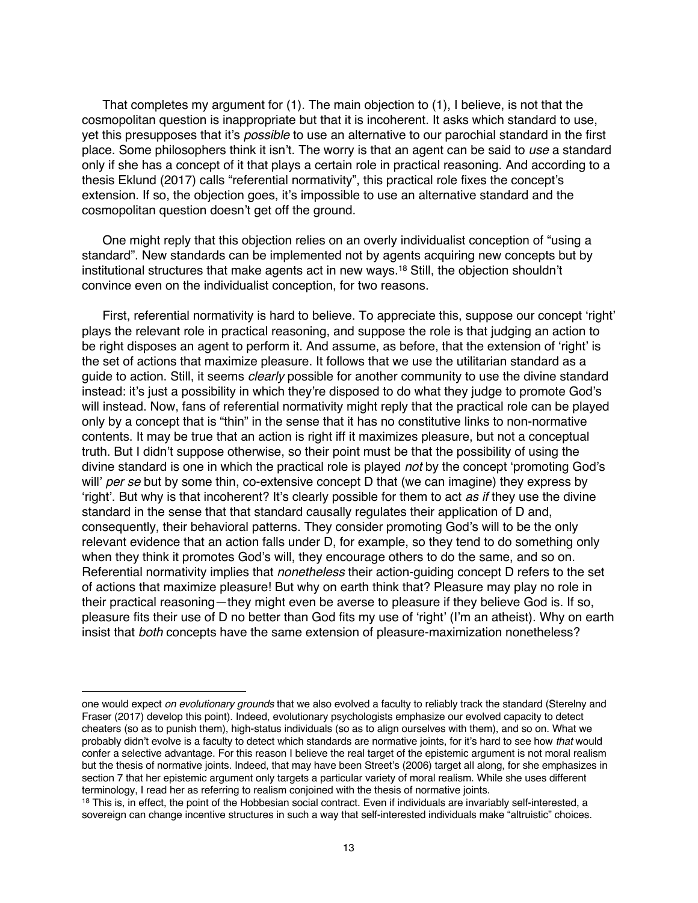That completes my argument for (1). The main objection to (1), I believe, is not that the cosmopolitan question is inappropriate but that it is incoherent. It asks which standard to use, yet this presupposes that it's *possible* to use an alternative to our parochial standard in the first place. Some philosophers think it isn't. The worry is that an agent can be said to *use* a standard only if she has a concept of it that plays a certain role in practical reasoning. And according to a thesis Eklund (2017) calls "referential normativity", this practical role fixes the concept's extension. If so, the objection goes, it's impossible to use an alternative standard and the cosmopolitan question doesn't get off the ground.

One might reply that this objection relies on an overly individualist conception of "using a standard". New standards can be implemented not by agents acquiring new concepts but by institutional structures that make agents act in new ways.18 Still, the objection shouldn't convince even on the individualist conception, for two reasons.

First, referential normativity is hard to believe. To appreciate this, suppose our concept 'right' plays the relevant role in practical reasoning, and suppose the role is that judging an action to be right disposes an agent to perform it. And assume, as before, that the extension of 'right' is the set of actions that maximize pleasure. It follows that we use the utilitarian standard as a guide to action. Still, it seems *clearly* possible for another community to use the divine standard instead: it's just a possibility in which they're disposed to do what they judge to promote God's will instead. Now, fans of referential normativity might reply that the practical role can be played only by a concept that is "thin" in the sense that it has no constitutive links to non-normative contents. It may be true that an action is right iff it maximizes pleasure, but not a conceptual truth. But I didn't suppose otherwise, so their point must be that the possibility of using the divine standard is one in which the practical role is played *not* by the concept 'promoting God's will' *per se* but by some thin, co-extensive concept D that (we can imagine) they express by 'right'. But why is that incoherent? It's clearly possible for them to act *as if* they use the divine standard in the sense that that standard causally regulates their application of D and, consequently, their behavioral patterns. They consider promoting God's will to be the only relevant evidence that an action falls under D, for example, so they tend to do something only when they think it promotes God's will, they encourage others to do the same, and so on. Referential normativity implies that *nonetheless* their action-guiding concept D refers to the set of actions that maximize pleasure! But why on earth think that? Pleasure may play no role in their practical reasoning—they might even be averse to pleasure if they believe God is. If so, pleasure fits their use of D no better than God fits my use of 'right' (I'm an atheist). Why on earth insist that *both* concepts have the same extension of pleasure-maximization nonetheless?

one would expect *on evolutionary grounds* that we also evolved a faculty to reliably track the standard (Sterelny and Fraser (2017) develop this point). Indeed, evolutionary psychologists emphasize our evolved capacity to detect cheaters (so as to punish them), high-status individuals (so as to align ourselves with them), and so on. What we probably didn't evolve is a faculty to detect which standards are normative joints, for it's hard to see how *that* would confer a selective advantage. For this reason I believe the real target of the epistemic argument is not moral realism but the thesis of normative joints. Indeed, that may have been Street's (2006) target all along, for she emphasizes in section 7 that her epistemic argument only targets a particular variety of moral realism. While she uses different terminology, I read her as referring to realism conjoined with the thesis of normative joints.

<sup>&</sup>lt;sup>18</sup> This is, in effect, the point of the Hobbesian social contract. Even if individuals are invariably self-interested, a sovereign can change incentive structures in such a way that self-interested individuals make "altruistic" choices.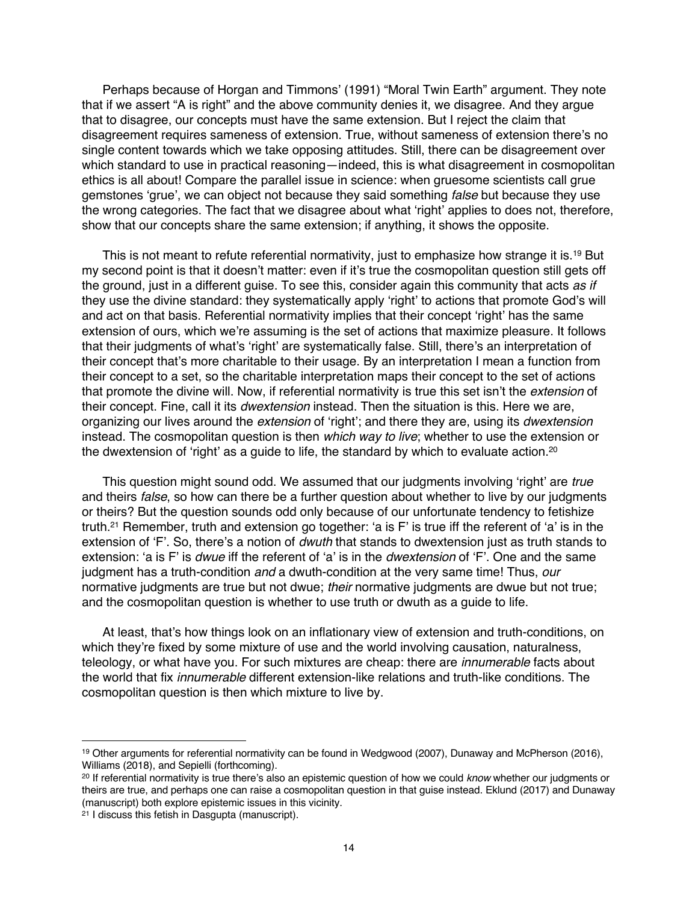Perhaps because of Horgan and Timmons' (1991) "Moral Twin Earth" argument. They note that if we assert "A is right" and the above community denies it, we disagree. And they argue that to disagree, our concepts must have the same extension. But I reject the claim that disagreement requires sameness of extension. True, without sameness of extension there's no single content towards which we take opposing attitudes. Still, there can be disagreement over which standard to use in practical reasoning—indeed, this is what disagreement in cosmopolitan ethics is all about! Compare the parallel issue in science: when gruesome scientists call grue gemstones 'grue', we can object not because they said something *false* but because they use the wrong categories. The fact that we disagree about what 'right' applies to does not, therefore, show that our concepts share the same extension; if anything, it shows the opposite.

This is not meant to refute referential normativity, just to emphasize how strange it is.<sup>19</sup> But my second point is that it doesn't matter: even if it's true the cosmopolitan question still gets off the ground, just in a different guise. To see this, consider again this community that acts *as if* they use the divine standard: they systematically apply 'right' to actions that promote God's will and act on that basis. Referential normativity implies that their concept 'right' has the same extension of ours, which we're assuming is the set of actions that maximize pleasure. It follows that their judgments of what's 'right' are systematically false. Still, there's an interpretation of their concept that's more charitable to their usage. By an interpretation I mean a function from their concept to a set, so the charitable interpretation maps their concept to the set of actions that promote the divine will. Now, if referential normativity is true this set isn't the *extension* of their concept. Fine, call it its *dwextension* instead. Then the situation is this. Here we are, organizing our lives around the *extension* of 'right'; and there they are, using its *dwextension* instead. The cosmopolitan question is then *which way to live*; whether to use the extension or the dwextension of 'right' as a guide to life, the standard by which to evaluate action.<sup>20</sup>

This question might sound odd. We assumed that our judgments involving 'right' are *true* and theirs *false*, so how can there be a further question about whether to live by our judgments or theirs? But the question sounds odd only because of our unfortunate tendency to fetishize truth.21 Remember, truth and extension go together: 'a is F' is true iff the referent of 'a' is in the extension of 'F'. So, there's a notion of *dwuth* that stands to dwextension just as truth stands to extension: 'a is F' is *dwue* iff the referent of 'a' is in the *dwextension* of 'F'. One and the same judgment has a truth-condition *and* a dwuth-condition at the very same time! Thus, *our* normative judgments are true but not dwue; *their* normative judgments are dwue but not true; and the cosmopolitan question is whether to use truth or dwuth as a guide to life.

At least, that's how things look on an inflationary view of extension and truth-conditions, on which they're fixed by some mixture of use and the world involving causation, naturalness, teleology, or what have you. For such mixtures are cheap: there are *innumerable* facts about the world that fix *innumerable* different extension-like relations and truth-like conditions. The cosmopolitan question is then which mixture to live by.

<sup>19</sup> Other arguments for referential normativity can be found in Wedgwood (2007), Dunaway and McPherson (2016), Williams (2018), and Sepielli (forthcoming).

<sup>20</sup> If referential normativity is true there's also an epistemic question of how we could *know* whether our judgments or theirs are true, and perhaps one can raise a cosmopolitan question in that guise instead. Eklund (2017) and Dunaway (manuscript) both explore epistemic issues in this vicinity.

 $21$  I discuss this fetish in Dasgupta (manuscript).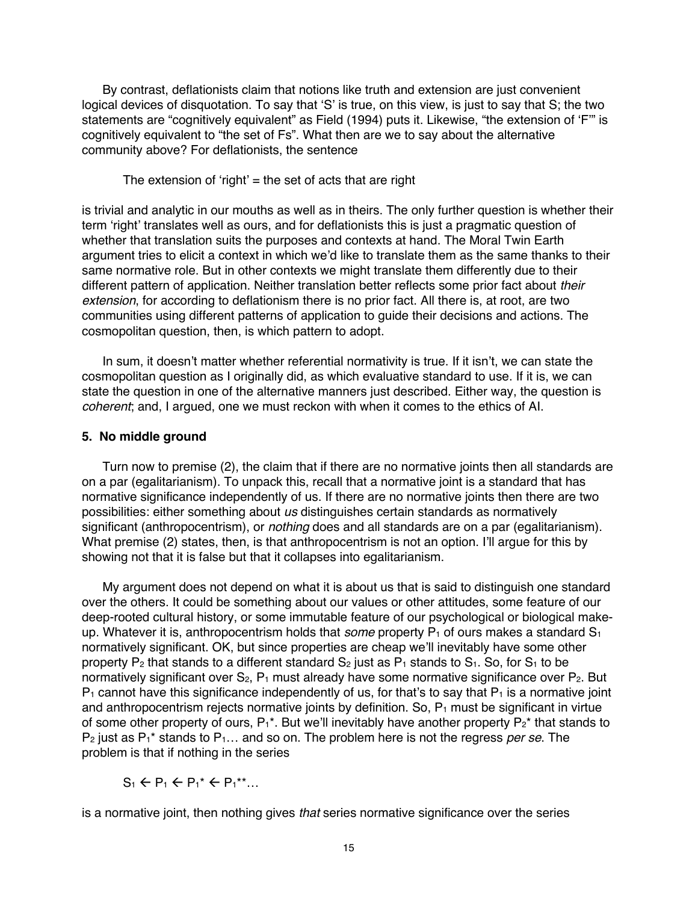By contrast, deflationists claim that notions like truth and extension are just convenient logical devices of disquotation. To say that 'S' is true, on this view, is just to say that S; the two statements are "cognitively equivalent" as Field (1994) puts it. Likewise, "the extension of 'F'" is cognitively equivalent to "the set of Fs". What then are we to say about the alternative community above? For deflationists, the sentence

The extension of 'right'  $=$  the set of acts that are right

is trivial and analytic in our mouths as well as in theirs. The only further question is whether their term 'right' translates well as ours, and for deflationists this is just a pragmatic question of whether that translation suits the purposes and contexts at hand. The Moral Twin Earth argument tries to elicit a context in which we'd like to translate them as the same thanks to their same normative role. But in other contexts we might translate them differently due to their different pattern of application. Neither translation better reflects some prior fact about *their extension*, for according to deflationism there is no prior fact. All there is, at root, are two communities using different patterns of application to guide their decisions and actions. The cosmopolitan question, then, is which pattern to adopt.

In sum, it doesn't matter whether referential normativity is true. If it isn't, we can state the cosmopolitan question as I originally did, as which evaluative standard to use. If it is, we can state the question in one of the alternative manners just described. Either way, the question is *coherent*; and, I argued, one we must reckon with when it comes to the ethics of AI.

## **5. No middle ground**

Turn now to premise (2), the claim that if there are no normative joints then all standards are on a par (egalitarianism). To unpack this, recall that a normative joint is a standard that has normative significance independently of us. If there are no normative joints then there are two possibilities: either something about *us* distinguishes certain standards as normatively significant (anthropocentrism), or *nothing* does and all standards are on a par (egalitarianism). What premise (2) states, then, is that anthropocentrism is not an option. I'll argue for this by showing not that it is false but that it collapses into egalitarianism.

My argument does not depend on what it is about us that is said to distinguish one standard over the others. It could be something about our values or other attitudes, some feature of our deep-rooted cultural history, or some immutable feature of our psychological or biological makeup. Whatever it is, anthropocentrism holds that *some* property P<sub>1</sub> of ours makes a standard S<sub>1</sub> normatively significant. OK, but since properties are cheap we'll inevitably have some other property  $P_2$  that stands to a different standard  $S_2$  just as  $P_1$  stands to  $S_1$ . So, for  $S_1$  to be normatively significant over  $S_2$ ,  $P_1$  must already have some normative significance over  $P_2$ . But  $P_1$  cannot have this significance independently of us, for that's to say that  $P_1$  is a normative joint and anthropocentrism rejects normative joints by definition. So,  $P_1$  must be significant in virtue of some other property of ours,  $P_1^*$ . But we'll inevitably have another property  $P_2^*$  that stands to P2 just as P1\* stands to P1… and so on. The problem here is not the regress *per se*. The problem is that if nothing in the series

 $S_1 \leftarrow P_1 \leftarrow P_1^* \leftarrow P_1^{**}...$ 

is a normative joint, then nothing gives *that* series normative significance over the series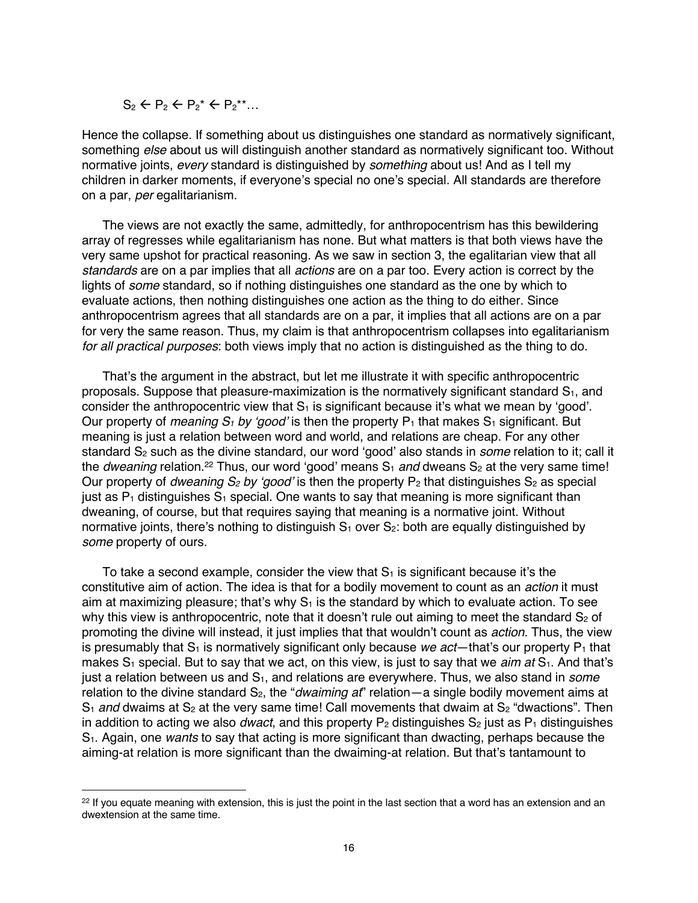$S_2 \leftarrow P_2 \leftarrow P_2^* \leftarrow P_2^{**}...$ 

Hence the collapse. If something about us distinguishes one standard as normatively significant, something *else* about us will distinguish another standard as normatively significant too. Without normative joints, *every* standard is distinguished by *something* about us! And as I tell my children in darker moments, if everyone's special no one's special. All standards are therefore on a par, *per* egalitarianism.

The views are not exactly the same, admittedly, for anthropocentrism has this bewildering array of regresses while egalitarianism has none. But what matters is that both views have the very same upshot for practical reasoning. As we saw in section 3, the egalitarian view that all *standards* are on a par implies that all *actions* are on a par too. Every action is correct by the lights of *some* standard, so if nothing distinguishes one standard as the one by which to evaluate actions, then nothing distinguishes one action as the thing to do either. Since anthropocentrism agrees that all standards are on a par, it implies that all actions are on a par for very the same reason. Thus, my claim is that anthropocentrism collapses into egalitarianism *for all practical purposes*: both views imply that no action is distinguished as the thing to do.

That's the argument in the abstract, but let me illustrate it with specific anthropocentric proposals. Suppose that pleasure-maximization is the normatively significant standard  $S<sub>1</sub>$ , and consider the anthropocentric view that  $S_1$  is significant because it's what we mean by 'good'. Our property of *meaning*  $S_1$  by 'good' is then the property  $P_1$  that makes  $S_1$  significant. But meaning is just a relation between word and world, and relations are cheap. For any other standard S<sub>2</sub> such as the divine standard, our word 'good' also stands in *some* relation to it; call it the *dweaning* relation.<sup>22</sup> Thus, our word 'good' means  $S_1$  *and* dweans  $S_2$  at the very same time! Our property of *dweaning*  $S_2$  *by 'good'* is then the property  $P_2$  that distinguishes  $S_2$  as special just as  $P_1$  distinguishes  $S_1$  special. One wants to say that meaning is more significant than dweaning, of course, but that requires saying that meaning is a normative joint. Without normative joints, there's nothing to distinguish  $S_1$  over  $S_2$ : both are equally distinguished by *some* property of ours.

To take a second example, consider the view that  $S_1$  is significant because it's the constitutive aim of action. The idea is that for a bodily movement to count as an *action* it must aim at maximizing pleasure; that's why  $S_1$  is the standard by which to evaluate action. To see why this view is anthropocentric, note that it doesn't rule out aiming to meet the standard  $S<sub>2</sub>$  of promoting the divine will instead, it just implies that that wouldn't count as *action*. Thus, the view is presumably that  $S_1$  is normatively significant only because *we act*—that's our property  $P_1$  that makes S<sub>1</sub> special. But to say that we act, on this view, is just to say that we *aim at* S<sub>1</sub>. And that's just a relation between us and S<sub>1</sub>, and relations are everywhere. Thus, we also stand in *some* relation to the divine standard S<sub>2</sub>, the "*dwaiming at*" relation—a single bodily movement aims at  $S_1$  *and* dwaims at  $S_2$  at the very same time! Call movements that dwaim at  $S_2$  "dwactions". Then in addition to acting we also *dwact*, and this property  $P_2$  distinguishes  $S_2$  just as  $P_1$  distinguishes S1. Again, one *wants* to say that acting is more significant than dwacting, perhaps because the aiming-at relation is more significant than the dwaiming-at relation. But that's tantamount to

<sup>&</sup>lt;sup>22</sup> If you equate meaning with extension, this is just the point in the last section that a word has an extension and an dwextension at the same time.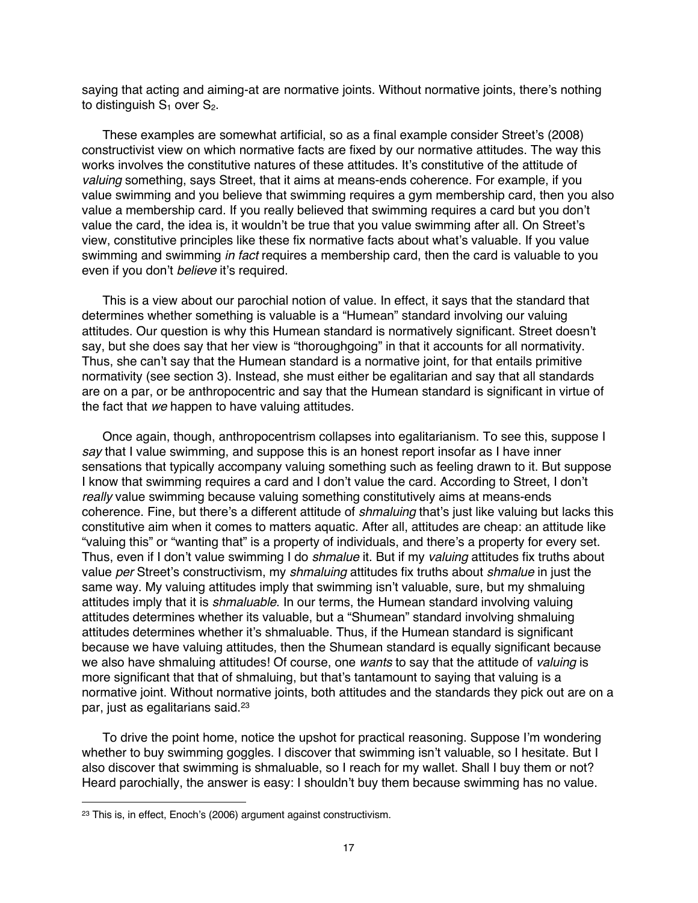saying that acting and aiming-at are normative joints. Without normative joints, there's nothing to distinguish  $S_1$  over  $S_2$ .

These examples are somewhat artificial, so as a final example consider Street's (2008) constructivist view on which normative facts are fixed by our normative attitudes. The way this works involves the constitutive natures of these attitudes. It's constitutive of the attitude of *valuing* something, says Street, that it aims at means-ends coherence. For example, if you value swimming and you believe that swimming requires a gym membership card, then you also value a membership card. If you really believed that swimming requires a card but you don't value the card, the idea is, it wouldn't be true that you value swimming after all. On Street's view, constitutive principles like these fix normative facts about what's valuable. If you value swimming and swimming *in fact* requires a membership card, then the card is valuable to you even if you don't *believe* it's required.

This is a view about our parochial notion of value. In effect, it says that the standard that determines whether something is valuable is a "Humean" standard involving our valuing attitudes. Our question is why this Humean standard is normatively significant. Street doesn't say, but she does say that her view is "thoroughgoing" in that it accounts for all normativity. Thus, she can't say that the Humean standard is a normative joint, for that entails primitive normativity (see section 3). Instead, she must either be egalitarian and say that all standards are on a par, or be anthropocentric and say that the Humean standard is significant in virtue of the fact that *we* happen to have valuing attitudes.

Once again, though, anthropocentrism collapses into egalitarianism. To see this, suppose I *say* that I value swimming, and suppose this is an honest report insofar as I have inner sensations that typically accompany valuing something such as feeling drawn to it. But suppose I know that swimming requires a card and I don't value the card. According to Street, I don't *really* value swimming because valuing something constitutively aims at means-ends coherence. Fine, but there's a different attitude of *shmaluing* that's just like valuing but lacks this constitutive aim when it comes to matters aquatic. After all, attitudes are cheap: an attitude like "valuing this" or "wanting that" is a property of individuals, and there's a property for every set. Thus, even if I don't value swimming I do *shmalue* it. But if my *valuing* attitudes fix truths about value *per* Street's constructivism, my *shmaluing* attitudes fix truths about *shmalue* in just the same way. My valuing attitudes imply that swimming isn't valuable, sure, but my shmaluing attitudes imply that it is *shmaluable*. In our terms, the Humean standard involving valuing attitudes determines whether its valuable, but a "Shumean" standard involving shmaluing attitudes determines whether it's shmaluable. Thus, if the Humean standard is significant because we have valuing attitudes, then the Shumean standard is equally significant because we also have shmaluing attitudes! Of course, one *wants* to say that the attitude of *valuing* is more significant that that of shmaluing, but that's tantamount to saying that valuing is a normative joint. Without normative joints, both attitudes and the standards they pick out are on a par, just as egalitarians said. 23

To drive the point home, notice the upshot for practical reasoning. Suppose I'm wondering whether to buy swimming goggles. I discover that swimming isn't valuable, so I hesitate. But I also discover that swimming is shmaluable, so I reach for my wallet. Shall I buy them or not? Heard parochially, the answer is easy: I shouldn't buy them because swimming has no value.

<sup>23</sup> This is, in effect, Enoch's (2006) argument against constructivism.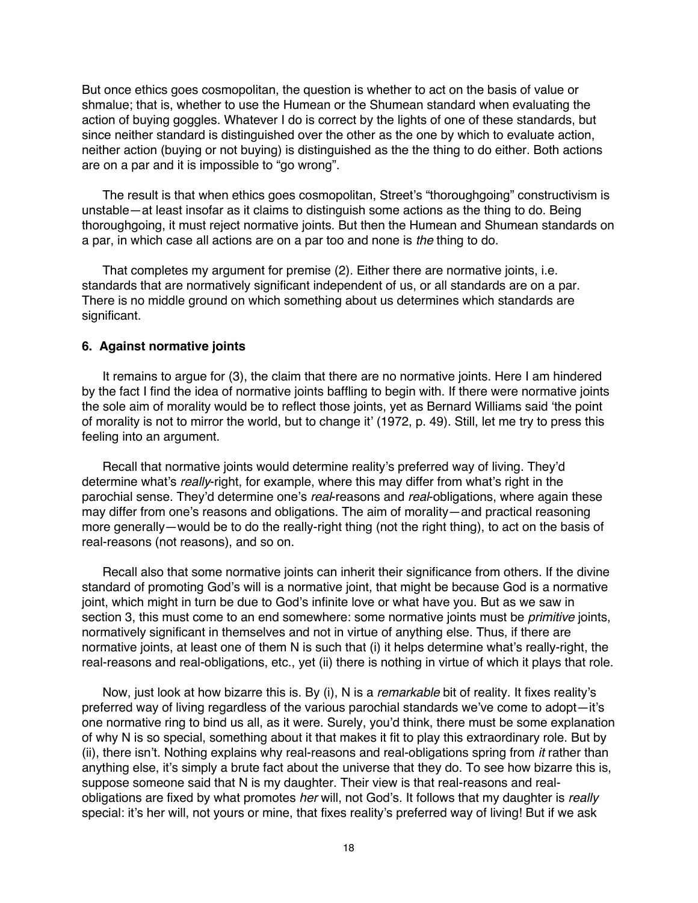But once ethics goes cosmopolitan, the question is whether to act on the basis of value or shmalue; that is, whether to use the Humean or the Shumean standard when evaluating the action of buying goggles. Whatever I do is correct by the lights of one of these standards, but since neither standard is distinguished over the other as the one by which to evaluate action, neither action (buying or not buying) is distinguished as the the thing to do either. Both actions are on a par and it is impossible to "go wrong".

The result is that when ethics goes cosmopolitan, Street's "thoroughgoing" constructivism is unstable—at least insofar as it claims to distinguish some actions as the thing to do. Being thoroughgoing, it must reject normative joints. But then the Humean and Shumean standards on a par, in which case all actions are on a par too and none is *the* thing to do.

That completes my argument for premise (2). Either there are normative joints, i.e. standards that are normatively significant independent of us, or all standards are on a par. There is no middle ground on which something about us determines which standards are significant.

### **6. Against normative joints**

It remains to argue for (3), the claim that there are no normative joints. Here I am hindered by the fact I find the idea of normative joints baffling to begin with. If there were normative joints the sole aim of morality would be to reflect those joints, yet as Bernard Williams said 'the point of morality is not to mirror the world, but to change it' (1972, p. 49). Still, let me try to press this feeling into an argument.

Recall that normative joints would determine reality's preferred way of living. They'd determine what's *really*-right, for example, where this may differ from what's right in the parochial sense. They'd determine one's *real*-reasons and *real*-obligations, where again these may differ from one's reasons and obligations. The aim of morality—and practical reasoning more generally—would be to do the really-right thing (not the right thing), to act on the basis of real-reasons (not reasons), and so on.

Recall also that some normative joints can inherit their significance from others. If the divine standard of promoting God's will is a normative joint, that might be because God is a normative joint, which might in turn be due to God's infinite love or what have you. But as we saw in section 3, this must come to an end somewhere: some normative joints must be *primitive* joints, normatively significant in themselves and not in virtue of anything else. Thus, if there are normative joints, at least one of them N is such that (i) it helps determine what's really-right, the real-reasons and real-obligations, etc., yet (ii) there is nothing in virtue of which it plays that role.

Now, just look at how bizarre this is. By (i), N is a *remarkable* bit of reality. It fixes reality's preferred way of living regardless of the various parochial standards we've come to adopt—it's one normative ring to bind us all, as it were. Surely, you'd think, there must be some explanation of why N is so special, something about it that makes it fit to play this extraordinary role. But by (ii), there isn't. Nothing explains why real-reasons and real-obligations spring from *it* rather than anything else, it's simply a brute fact about the universe that they do. To see how bizarre this is, suppose someone said that N is my daughter. Their view is that real-reasons and realobligations are fixed by what promotes *her* will, not God's. It follows that my daughter is *really* special: it's her will, not yours or mine, that fixes reality's preferred way of living! But if we ask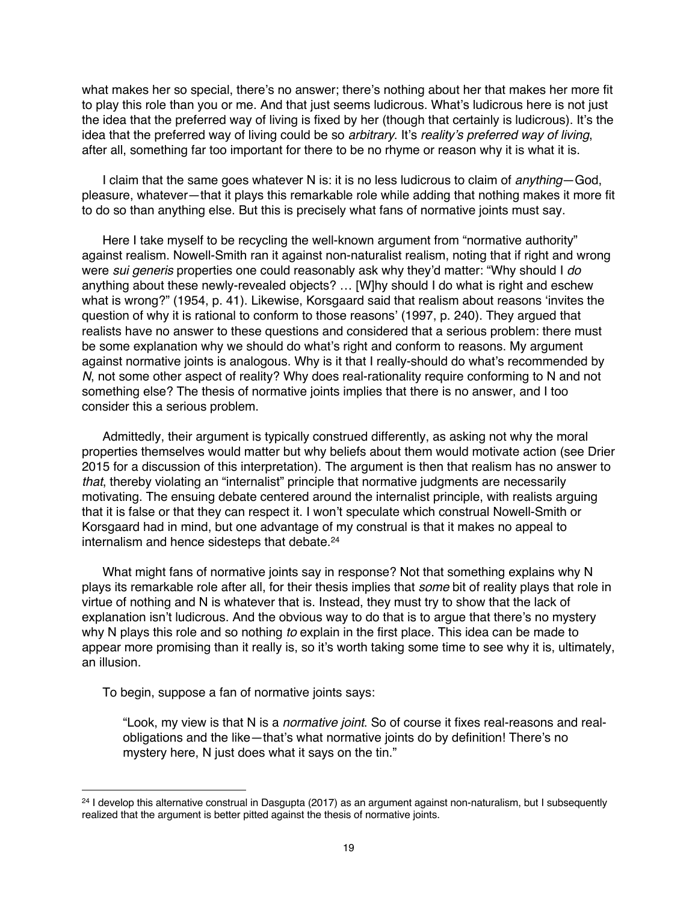what makes her so special, there's no answer; there's nothing about her that makes her more fit to play this role than you or me. And that just seems ludicrous. What's ludicrous here is not just the idea that the preferred way of living is fixed by her (though that certainly is ludicrous). It's the idea that the preferred way of living could be so *arbitrary*. It's *reality's preferred way of living*, after all, something far too important for there to be no rhyme or reason why it is what it is.

I claim that the same goes whatever N is: it is no less ludicrous to claim of *anything*—God, pleasure, whatever—that it plays this remarkable role while adding that nothing makes it more fit to do so than anything else. But this is precisely what fans of normative joints must say.

Here I take myself to be recycling the well-known argument from "normative authority" against realism. Nowell-Smith ran it against non-naturalist realism, noting that if right and wrong were *sui generis* properties one could reasonably ask why they'd matter: "Why should I *do* anything about these newly-revealed objects? … [W]hy should I do what is right and eschew what is wrong?" (1954, p. 41). Likewise, Korsgaard said that realism about reasons 'invites the question of why it is rational to conform to those reasons' (1997, p. 240). They argued that realists have no answer to these questions and considered that a serious problem: there must be some explanation why we should do what's right and conform to reasons. My argument against normative joints is analogous. Why is it that I really-should do what's recommended by *N*, not some other aspect of reality? Why does real-rationality require conforming to N and not something else? The thesis of normative joints implies that there is no answer, and I too consider this a serious problem.

Admittedly, their argument is typically construed differently, as asking not why the moral properties themselves would matter but why beliefs about them would motivate action (see Drier 2015 for a discussion of this interpretation). The argument is then that realism has no answer to *that*, thereby violating an "internalist" principle that normative judgments are necessarily motivating. The ensuing debate centered around the internalist principle, with realists arguing that it is false or that they can respect it. I won't speculate which construal Nowell-Smith or Korsgaard had in mind, but one advantage of my construal is that it makes no appeal to internalism and hence sidesteps that debate.<sup>24</sup>

What might fans of normative joints say in response? Not that something explains why N plays its remarkable role after all, for their thesis implies that *some* bit of reality plays that role in virtue of nothing and N is whatever that is. Instead, they must try to show that the lack of explanation isn't ludicrous. And the obvious way to do that is to argue that there's no mystery why N plays this role and so nothing *to* explain in the first place. This idea can be made to appear more promising than it really is, so it's worth taking some time to see why it is, ultimately, an illusion.

To begin, suppose a fan of normative joints says:

"Look, my view is that N is a *normative joint*. So of course it fixes real-reasons and realobligations and the like—that's what normative joints do by definition! There's no mystery here, N just does what it says on the tin."

<sup>&</sup>lt;sup>24</sup> I develop this alternative construal in Dasgupta (2017) as an argument against non-naturalism, but I subsequently realized that the argument is better pitted against the thesis of normative joints.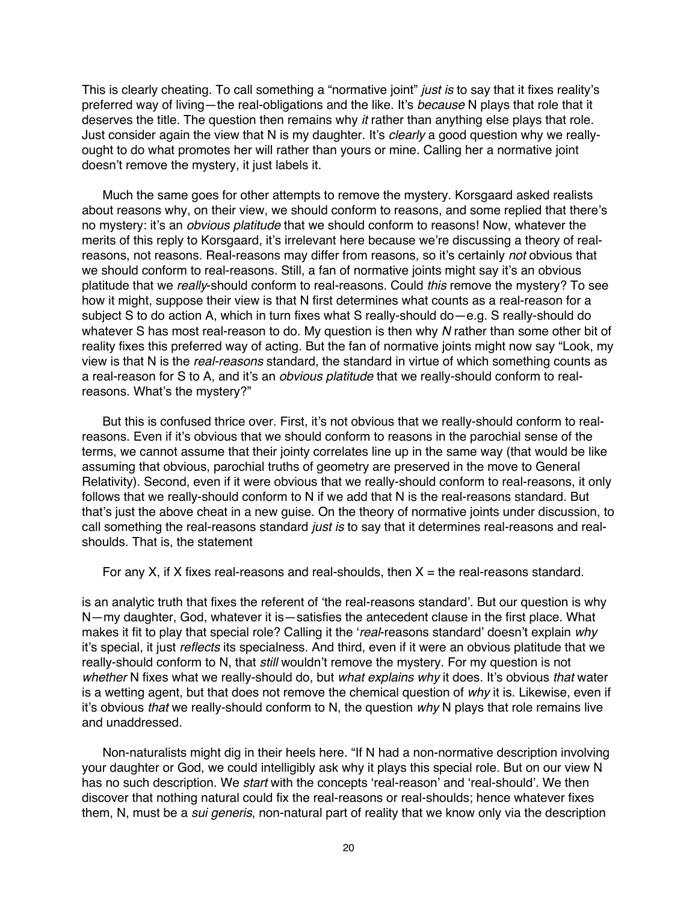This is clearly cheating. To call something a "normative joint" *just is* to say that it fixes reality's preferred way of living—the real-obligations and the like. It's *because* N plays that role that it deserves the title. The question then remains why *it* rather than anything else plays that role. Just consider again the view that N is my daughter. It's *clearly* a good question why we reallyought to do what promotes her will rather than yours or mine. Calling her a normative joint doesn't remove the mystery, it just labels it.

Much the same goes for other attempts to remove the mystery. Korsgaard asked realists about reasons why, on their view, we should conform to reasons, and some replied that there's no mystery: it's an *obvious platitude* that we should conform to reasons! Now, whatever the merits of this reply to Korsgaard, it's irrelevant here because we're discussing a theory of realreasons, not reasons. Real-reasons may differ from reasons, so it's certainly *not* obvious that we should conform to real-reasons. Still, a fan of normative joints might say it's an obvious platitude that we *really*-should conform to real-reasons. Could *this* remove the mystery? To see how it might, suppose their view is that N first determines what counts as a real-reason for a subject S to do action A, which in turn fixes what S really-should do—e.g. S really-should do whatever S has most real-reason to do. My question is then why *N* rather than some other bit of reality fixes this preferred way of acting. But the fan of normative joints might now say "Look, my view is that N is the *real-reasons* standard, the standard in virtue of which something counts as a real-reason for S to A, and it's an *obvious platitude* that we really-should conform to realreasons. What's the mystery?"

But this is confused thrice over. First, it's not obvious that we really-should conform to realreasons. Even if it's obvious that we should conform to reasons in the parochial sense of the terms, we cannot assume that their jointy correlates line up in the same way (that would be like assuming that obvious, parochial truths of geometry are preserved in the move to General Relativity). Second, even if it were obvious that we really-should conform to real-reasons, it only follows that we really-should conform to N if we add that N is the real-reasons standard. But that's just the above cheat in a new guise. On the theory of normative joints under discussion, to call something the real-reasons standard *just is* to say that it determines real-reasons and realshoulds. That is, the statement

For any X, if X fixes real-reasons and real-shoulds, then  $X =$  the real-reasons standard.

is an analytic truth that fixes the referent of 'the real-reasons standard'. But our question is why N—my daughter, God, whatever it is—satisfies the antecedent clause in the first place. What makes it fit to play that special role? Calling it the '*real*-reasons standard' doesn't explain *why* it's special, it just *reflects* its specialness. And third, even if it were an obvious platitude that we really-should conform to N, that *still* wouldn't remove the mystery. For my question is not *whether* N fixes what we really-should do, but *what explains why* it does. It's obvious *that* water is a wetting agent, but that does not remove the chemical question of *why* it is. Likewise, even if it's obvious *that* we really-should conform to N, the question *why* N plays that role remains live and unaddressed.

Non-naturalists might dig in their heels here. "If N had a non-normative description involving your daughter or God, we could intelligibly ask why it plays this special role. But on our view N has no such description. We *start* with the concepts 'real-reason' and 'real-should'. We then discover that nothing natural could fix the real-reasons or real-shoulds; hence whatever fixes them, N, must be a *sui generis*, non-natural part of reality that we know only via the description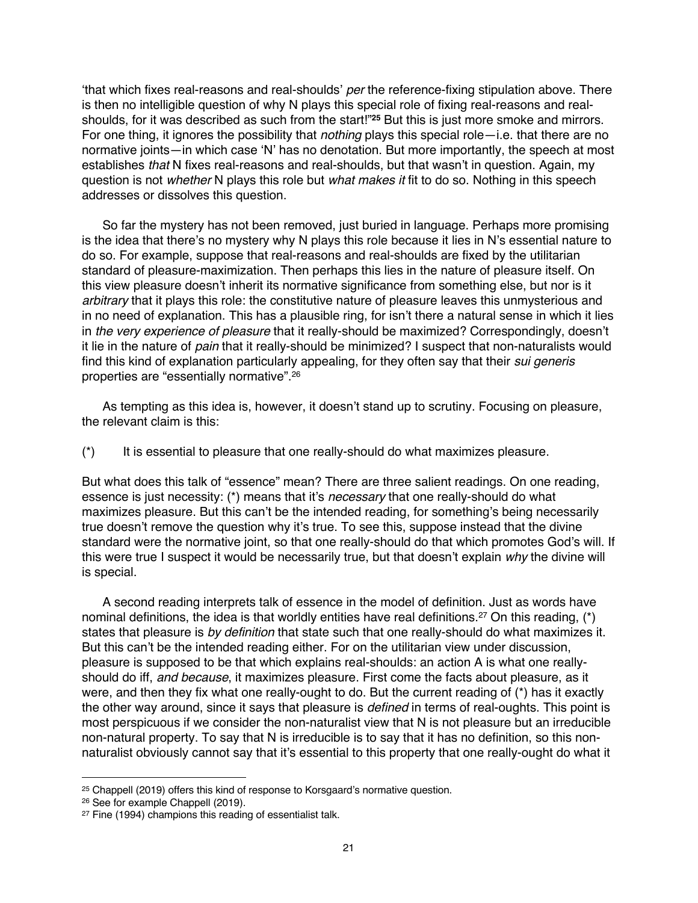'that which fixes real-reasons and real-shoulds' *per* the reference-fixing stipulation above. There is then no intelligible question of why N plays this special role of fixing real-reasons and realshoulds, for it was described as such from the start!"**<sup>25</sup>** But this is just more smoke and mirrors. For one thing, it ignores the possibility that *nothing* plays this special role—i.e. that there are no normative joints—in which case 'N' has no denotation. But more importantly, the speech at most establishes *that* N fixes real-reasons and real-shoulds, but that wasn't in question. Again, my question is not *whether* N plays this role but *what makes it* fit to do so. Nothing in this speech addresses or dissolves this question.

So far the mystery has not been removed, just buried in language. Perhaps more promising is the idea that there's no mystery why N plays this role because it lies in N's essential nature to do so. For example, suppose that real-reasons and real-shoulds are fixed by the utilitarian standard of pleasure-maximization. Then perhaps this lies in the nature of pleasure itself. On this view pleasure doesn't inherit its normative significance from something else, but nor is it *arbitrary* that it plays this role: the constitutive nature of pleasure leaves this unmysterious and in no need of explanation. This has a plausible ring, for isn't there a natural sense in which it lies in *the very experience of pleasure* that it really-should be maximized? Correspondingly, doesn't it lie in the nature of *pain* that it really-should be minimized? I suspect that non-naturalists would find this kind of explanation particularly appealing, for they often say that their *sui generis* properties are "essentially normative".26

As tempting as this idea is, however, it doesn't stand up to scrutiny. Focusing on pleasure, the relevant claim is this:

(\*) It is essential to pleasure that one really-should do what maximizes pleasure.

But what does this talk of "essence" mean? There are three salient readings. On one reading, essence is just necessity: (\*) means that it's *necessary* that one really-should do what maximizes pleasure. But this can't be the intended reading, for something's being necessarily true doesn't remove the question why it's true. To see this, suppose instead that the divine standard were the normative joint, so that one really-should do that which promotes God's will. If this were true I suspect it would be necessarily true, but that doesn't explain *why* the divine will is special.

A second reading interprets talk of essence in the model of definition. Just as words have nominal definitions, the idea is that worldly entities have real definitions.<sup>27</sup> On this reading, (\*) states that pleasure is *by definition* that state such that one really-should do what maximizes it. But this can't be the intended reading either. For on the utilitarian view under discussion, pleasure is supposed to be that which explains real-shoulds: an action A is what one reallyshould do iff, *and because*, it maximizes pleasure. First come the facts about pleasure, as it were, and then they fix what one really-ought to do. But the current reading of (\*) has it exactly the other way around, since it says that pleasure is *defined* in terms of real-oughts. This point is most perspicuous if we consider the non-naturalist view that N is not pleasure but an irreducible non-natural property. To say that N is irreducible is to say that it has no definition, so this nonnaturalist obviously cannot say that it's essential to this property that one really-ought do what it

<sup>25</sup> Chappell (2019) offers this kind of response to Korsgaard's normative question.

<sup>26</sup> See for example Chappell (2019).

<sup>&</sup>lt;sup>27</sup> Fine (1994) champions this reading of essentialist talk.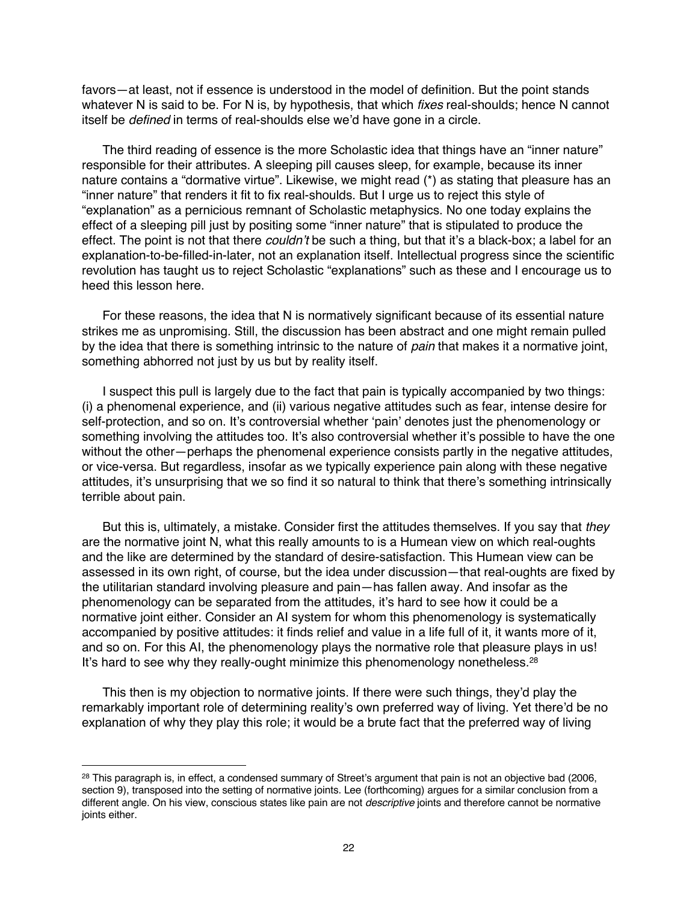favors—at least, not if essence is understood in the model of definition. But the point stands whatever N is said to be. For N is, by hypothesis, that which *fixes* real-shoulds; hence N cannot itself be *defined* in terms of real-shoulds else we'd have gone in a circle.

The third reading of essence is the more Scholastic idea that things have an "inner nature" responsible for their attributes. A sleeping pill causes sleep, for example, because its inner nature contains a "dormative virtue". Likewise, we might read (\*) as stating that pleasure has an "inner nature" that renders it fit to fix real-shoulds. But I urge us to reject this style of "explanation" as a pernicious remnant of Scholastic metaphysics. No one today explains the effect of a sleeping pill just by positing some "inner nature" that is stipulated to produce the effect. The point is not that there *couldn't* be such a thing, but that it's a black-box; a label for an explanation-to-be-filled-in-later, not an explanation itself. Intellectual progress since the scientific revolution has taught us to reject Scholastic "explanations" such as these and I encourage us to heed this lesson here.

For these reasons, the idea that N is normatively significant because of its essential nature strikes me as unpromising. Still, the discussion has been abstract and one might remain pulled by the idea that there is something intrinsic to the nature of *pain* that makes it a normative joint, something abhorred not just by us but by reality itself.

I suspect this pull is largely due to the fact that pain is typically accompanied by two things: (i) a phenomenal experience, and (ii) various negative attitudes such as fear, intense desire for self-protection, and so on. It's controversial whether 'pain' denotes just the phenomenology or something involving the attitudes too. It's also controversial whether it's possible to have the one without the other—perhaps the phenomenal experience consists partly in the negative attitudes, or vice-versa. But regardless, insofar as we typically experience pain along with these negative attitudes, it's unsurprising that we so find it so natural to think that there's something intrinsically terrible about pain.

But this is, ultimately, a mistake. Consider first the attitudes themselves. If you say that *they* are the normative joint N, what this really amounts to is a Humean view on which real-oughts and the like are determined by the standard of desire-satisfaction. This Humean view can be assessed in its own right, of course, but the idea under discussion—that real-oughts are fixed by the utilitarian standard involving pleasure and pain—has fallen away. And insofar as the phenomenology can be separated from the attitudes, it's hard to see how it could be a normative joint either. Consider an AI system for whom this phenomenology is systematically accompanied by positive attitudes: it finds relief and value in a life full of it, it wants more of it, and so on. For this AI, the phenomenology plays the normative role that pleasure plays in us! It's hard to see why they really-ought minimize this phenomenology nonetheless. $28$ 

This then is my objection to normative joints. If there were such things, they'd play the remarkably important role of determining reality's own preferred way of living. Yet there'd be no explanation of why they play this role; it would be a brute fact that the preferred way of living

<sup>&</sup>lt;sup>28</sup> This paragraph is, in effect, a condensed summary of Street's argument that pain is not an objective bad (2006, section 9), transposed into the setting of normative joints. Lee (forthcoming) argues for a similar conclusion from a different angle. On his view, conscious states like pain are not *descriptive* joints and therefore cannot be normative joints either.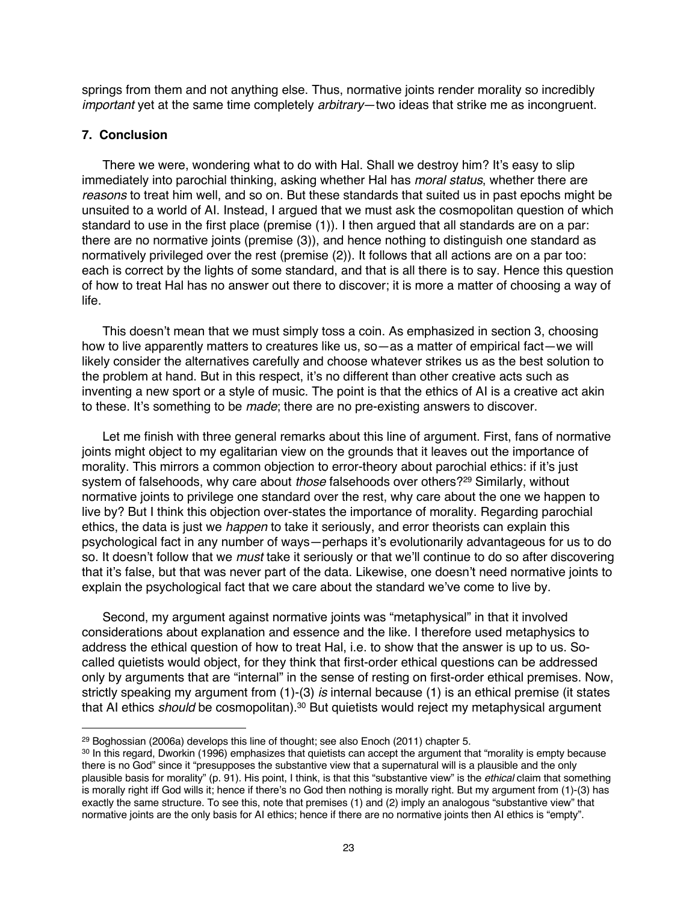springs from them and not anything else. Thus, normative joints render morality so incredibly *important* yet at the same time completely *arbitrary*—two ideas that strike me as incongruent.

# **7. Conclusion**

There we were, wondering what to do with Hal. Shall we destroy him? It's easy to slip immediately into parochial thinking, asking whether Hal has *moral status*, whether there are *reasons* to treat him well, and so on. But these standards that suited us in past epochs might be unsuited to a world of AI. Instead, I argued that we must ask the cosmopolitan question of which standard to use in the first place (premise (1)). I then argued that all standards are on a par: there are no normative joints (premise (3)), and hence nothing to distinguish one standard as normatively privileged over the rest (premise (2)). It follows that all actions are on a par too: each is correct by the lights of some standard, and that is all there is to say. Hence this question of how to treat Hal has no answer out there to discover; it is more a matter of choosing a way of life.

This doesn't mean that we must simply toss a coin. As emphasized in section 3, choosing how to live apparently matters to creatures like us, so—as a matter of empirical fact—we will likely consider the alternatives carefully and choose whatever strikes us as the best solution to the problem at hand. But in this respect, it's no different than other creative acts such as inventing a new sport or a style of music. The point is that the ethics of AI is a creative act akin to these. It's something to be *made*; there are no pre-existing answers to discover.

Let me finish with three general remarks about this line of argument. First, fans of normative joints might object to my egalitarian view on the grounds that it leaves out the importance of morality. This mirrors a common objection to error-theory about parochial ethics: if it's just system of falsehoods, why care about *those* falsehoods over others?29 Similarly, without normative joints to privilege one standard over the rest, why care about the one we happen to live by? But I think this objection over-states the importance of morality. Regarding parochial ethics, the data is just we *happen* to take it seriously, and error theorists can explain this psychological fact in any number of ways—perhaps it's evolutionarily advantageous for us to do so. It doesn't follow that we *must* take it seriously or that we'll continue to do so after discovering that it's false, but that was never part of the data. Likewise, one doesn't need normative joints to explain the psychological fact that we care about the standard we've come to live by.

Second, my argument against normative joints was "metaphysical" in that it involved considerations about explanation and essence and the like. I therefore used metaphysics to address the ethical question of how to treat Hal, i.e. to show that the answer is up to us. Socalled quietists would object, for they think that first-order ethical questions can be addressed only by arguments that are "internal" in the sense of resting on first-order ethical premises. Now, strictly speaking my argument from (1)-(3) *is* internal because (1) is an ethical premise (it states that AI ethics *should* be cosmopolitan).<sup>30</sup> But quietists would reject my metaphysical argument

<sup>29</sup> Boghossian (2006a) develops this line of thought; see also Enoch (2011) chapter 5.

<sup>&</sup>lt;sup>30</sup> In this regard, Dworkin (1996) emphasizes that quietists can accept the argument that "morality is empty because there is no God" since it "presupposes the substantive view that a supernatural will is a plausible and the only plausible basis for morality" (p. 91). His point, I think, is that this "substantive view" is the *ethical* claim that something is morally right iff God wills it; hence if there's no God then nothing is morally right. But my argument from (1)-(3) has exactly the same structure. To see this, note that premises (1) and (2) imply an analogous "substantive view" that normative joints are the only basis for AI ethics; hence if there are no normative joints then AI ethics is "empty".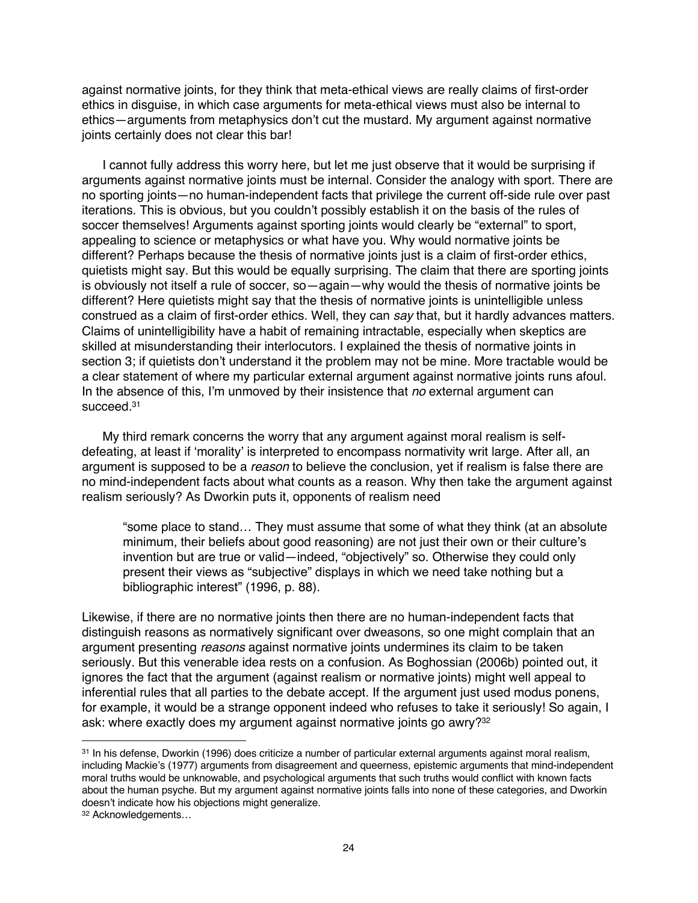against normative joints, for they think that meta-ethical views are really claims of first-order ethics in disguise, in which case arguments for meta-ethical views must also be internal to ethics—arguments from metaphysics don't cut the mustard. My argument against normative joints certainly does not clear this bar!

I cannot fully address this worry here, but let me just observe that it would be surprising if arguments against normative joints must be internal. Consider the analogy with sport. There are no sporting joints—no human-independent facts that privilege the current off-side rule over past iterations. This is obvious, but you couldn't possibly establish it on the basis of the rules of soccer themselves! Arguments against sporting joints would clearly be "external" to sport, appealing to science or metaphysics or what have you. Why would normative joints be different? Perhaps because the thesis of normative joints just is a claim of first-order ethics, quietists might say. But this would be equally surprising. The claim that there are sporting joints is obviously not itself a rule of soccer, so—again—why would the thesis of normative joints be different? Here quietists might say that the thesis of normative joints is unintelligible unless construed as a claim of first-order ethics. Well, they can *say* that, but it hardly advances matters. Claims of unintelligibility have a habit of remaining intractable, especially when skeptics are skilled at misunderstanding their interlocutors. I explained the thesis of normative joints in section 3; if quietists don't understand it the problem may not be mine. More tractable would be a clear statement of where my particular external argument against normative joints runs afoul. In the absence of this, I'm unmoved by their insistence that *no* external argument can succeed. 31

My third remark concerns the worry that any argument against moral realism is selfdefeating, at least if 'morality' is interpreted to encompass normativity writ large. After all, an argument is supposed to be a *reason* to believe the conclusion, yet if realism is false there are no mind-independent facts about what counts as a reason. Why then take the argument against realism seriously? As Dworkin puts it, opponents of realism need

"some place to stand… They must assume that some of what they think (at an absolute minimum, their beliefs about good reasoning) are not just their own or their culture's invention but are true or valid—indeed, "objectively" so. Otherwise they could only present their views as "subjective" displays in which we need take nothing but a bibliographic interest" (1996, p. 88).

Likewise, if there are no normative joints then there are no human-independent facts that distinguish reasons as normatively significant over dweasons, so one might complain that an argument presenting *reasons* against normative joints undermines its claim to be taken seriously. But this venerable idea rests on a confusion. As Boghossian (2006b) pointed out, it ignores the fact that the argument (against realism or normative joints) might well appeal to inferential rules that all parties to the debate accept. If the argument just used modus ponens, for example, it would be a strange opponent indeed who refuses to take it seriously! So again, I ask: where exactly does my argument against normative joints go awry?<sup>32</sup>

<sup>31</sup> In his defense, Dworkin (1996) does criticize a number of particular external arguments against moral realism, including Mackie's (1977) arguments from disagreement and queerness, epistemic arguments that mind-independent moral truths would be unknowable, and psychological arguments that such truths would conflict with known facts about the human psyche. But my argument against normative joints falls into none of these categories, and Dworkin doesn't indicate how his objections might generalize.

<sup>32</sup> Acknowledgements…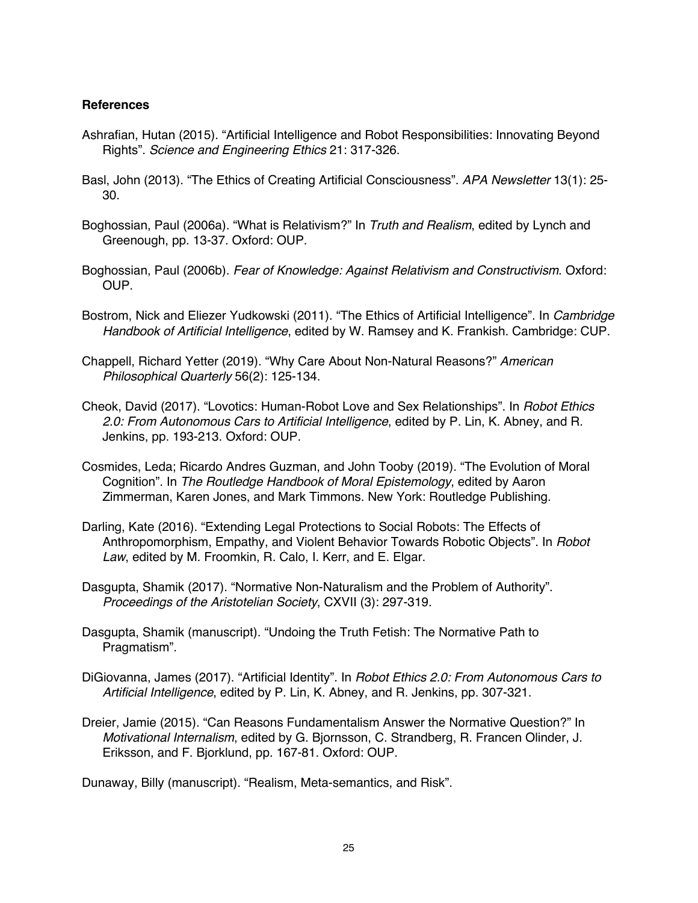## **References**

- Ashrafian, Hutan (2015). "Artificial Intelligence and Robot Responsibilities: Innovating Beyond Rights". *Science and Engineering Ethics* 21: 317-326.
- Basl, John (2013). "The Ethics of Creating Artificial Consciousness". *APA Newsletter* 13(1): 25- 30.
- Boghossian, Paul (2006a). "What is Relativism?" In *Truth and Realism*, edited by Lynch and Greenough, pp. 13-37. Oxford: OUP.
- Boghossian, Paul (2006b). *Fear of Knowledge: Against Relativism and Constructivism*. Oxford: OUP.
- Bostrom, Nick and Eliezer Yudkowski (2011). "The Ethics of Artificial Intelligence". In *Cambridge Handbook of Artificial Intelligence*, edited by W. Ramsey and K. Frankish. Cambridge: CUP.
- Chappell, Richard Yetter (2019). "Why Care About Non-Natural Reasons?" *American Philosophical Quarterly* 56(2): 125-134.
- Cheok, David (2017). "Lovotics: Human-Robot Love and Sex Relationships". In *Robot Ethics 2.0: From Autonomous Cars to Artificial Intelligence*, edited by P. Lin, K. Abney, and R. Jenkins, pp. 193-213. Oxford: OUP.
- Cosmides, Leda; Ricardo Andres Guzman, and John Tooby (2019). "The Evolution of Moral Cognition". In *The Routledge Handbook of Moral Epistemology*, edited by Aaron Zimmerman, Karen Jones, and Mark Timmons. New York: Routledge Publishing.
- Darling, Kate (2016). "Extending Legal Protections to Social Robots: The Effects of Anthropomorphism, Empathy, and Violent Behavior Towards Robotic Objects". In *Robot Law*, edited by M. Froomkin, R. Calo, I. Kerr, and E. Elgar.
- Dasgupta, Shamik (2017). "Normative Non-Naturalism and the Problem of Authority". *Proceedings of the Aristotelian Society*, CXVII (3): 297-319.
- Dasgupta, Shamik (manuscript). "Undoing the Truth Fetish: The Normative Path to Pragmatism".
- DiGiovanna, James (2017). "Artificial Identity". In *Robot Ethics 2.0: From Autonomous Cars to Artificial Intelligence*, edited by P. Lin, K. Abney, and R. Jenkins, pp. 307-321.
- Dreier, Jamie (2015). "Can Reasons Fundamentalism Answer the Normative Question?" In *Motivational Internalism*, edited by G. Bjornsson, C. Strandberg, R. Francen Olinder, J. Eriksson, and F. Bjorklund, pp. 167-81. Oxford: OUP.

Dunaway, Billy (manuscript). "Realism, Meta-semantics, and Risk".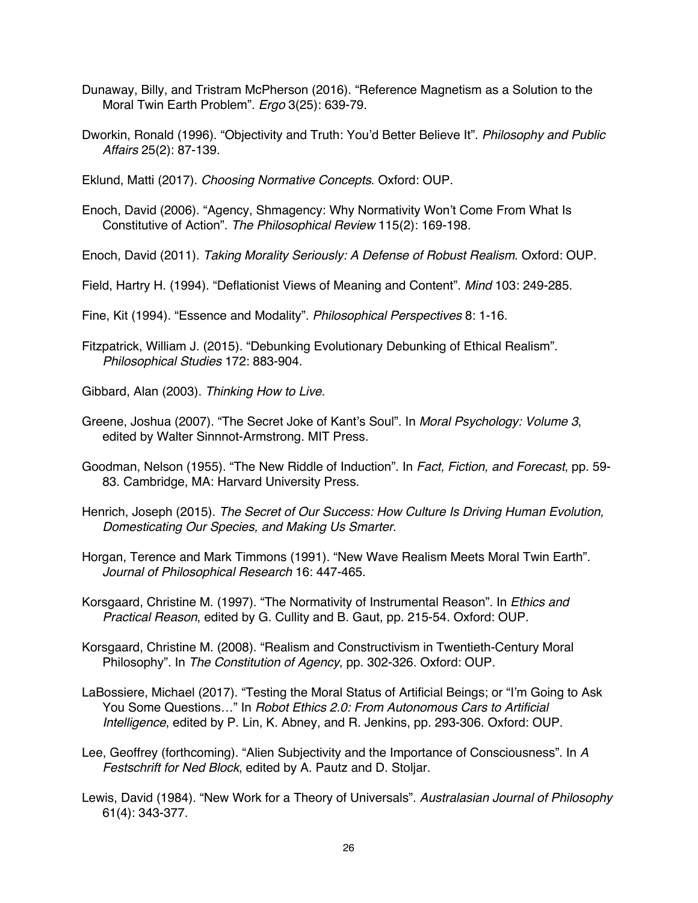- Dunaway, Billy, and Tristram McPherson (2016). "Reference Magnetism as a Solution to the Moral Twin Earth Problem". *Ergo* 3(25): 639-79.
- Dworkin, Ronald (1996). "Objectivity and Truth: You'd Better Believe It". *Philosophy and Public Affairs* 25(2): 87-139.

Eklund, Matti (2017). *Choosing Normative Concepts*. Oxford: OUP.

- Enoch, David (2006). "Agency, Shmagency: Why Normativity Won't Come From What Is Constitutive of Action". *The Philosophical Review* 115(2): 169-198.
- Enoch, David (2011). *Taking Morality Seriously: A Defense of Robust Realism*. Oxford: OUP.

Field, Hartry H. (1994). "Deflationist Views of Meaning and Content". *Mind* 103: 249-285.

Fine, Kit (1994). "Essence and Modality". *Philosophical Perspectives* 8: 1-16.

Fitzpatrick, William J. (2015). "Debunking Evolutionary Debunking of Ethical Realism". *Philosophical Studies* 172: 883-904.

Gibbard, Alan (2003). *Thinking How to Live*.

- Greene, Joshua (2007). "The Secret Joke of Kant's Soul". In *Moral Psychology: Volume 3*, edited by Walter Sinnnot-Armstrong. MIT Press.
- Goodman, Nelson (1955). "The New Riddle of Induction". In *Fact, Fiction, and Forecast*, pp. 59- 83. Cambridge, MA: Harvard University Press.
- Henrich, Joseph (2015). *The Secret of Our Success: How Culture Is Driving Human Evolution, Domesticating Our Species, and Making Us Smarter*.
- Horgan, Terence and Mark Timmons (1991). "New Wave Realism Meets Moral Twin Earth". *Journal of Philosophical Research* 16: 447-465.
- Korsgaard, Christine M. (1997). "The Normativity of Instrumental Reason". In *Ethics and Practical Reason*, edited by G. Cullity and B. Gaut, pp. 215-54. Oxford: OUP.
- Korsgaard, Christine M. (2008). "Realism and Constructivism in Twentieth-Century Moral Philosophy". In *The Constitution of Agency*, pp. 302-326. Oxford: OUP.
- LaBossiere, Michael (2017). "Testing the Moral Status of Artificial Beings; or "I'm Going to Ask You Some Questions…" In *Robot Ethics 2.0: From Autonomous Cars to Artificial Intelligence*, edited by P. Lin, K. Abney, and R. Jenkins, pp. 293-306. Oxford: OUP.
- Lee, Geoffrey (forthcoming). "Alien Subjectivity and the Importance of Consciousness". In *A Festschrift for Ned Block*, edited by A. Pautz and D. Stoljar.
- Lewis, David (1984). "New Work for a Theory of Universals". *Australasian Journal of Philosophy* 61(4): 343-377.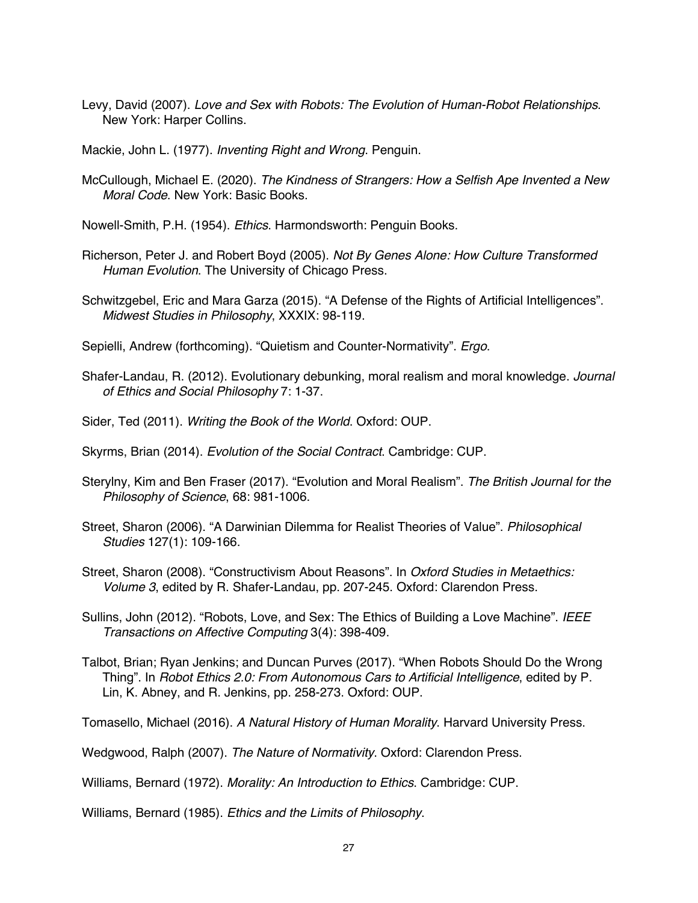Levy, David (2007). *Love and Sex with Robots: The Evolution of Human-Robot Relationships*. New York: Harper Collins.

Mackie, John L. (1977). *Inventing Right and Wrong*. Penguin.

McCullough, Michael E. (2020). *The Kindness of Strangers: How a Selfish Ape Invented a New Moral Code*. New York: Basic Books.

Nowell-Smith, P.H. (1954). *Ethics*. Harmondsworth: Penguin Books.

- Richerson, Peter J. and Robert Boyd (2005). *Not By Genes Alone: How Culture Transformed Human Evolution*. The University of Chicago Press.
- Schwitzgebel, Eric and Mara Garza (2015). "A Defense of the Rights of Artificial Intelligences". *Midwest Studies in Philosophy*, XXXIX: 98-119.

Sepielli, Andrew (forthcoming). "Quietism and Counter-Normativity". *Ergo*.

- Shafer-Landau, R. (2012). Evolutionary debunking, moral realism and moral knowledge. *Journal of Ethics and Social Philosophy* 7: 1-37.
- Sider, Ted (2011). *Writing the Book of the World*. Oxford: OUP.
- Skyrms, Brian (2014). *Evolution of the Social Contract*. Cambridge: CUP.
- Sterylny, Kim and Ben Fraser (2017). "Evolution and Moral Realism". *The British Journal for the Philosophy of Science*, 68: 981-1006.
- Street, Sharon (2006). "A Darwinian Dilemma for Realist Theories of Value". *Philosophical Studies* 127(1): 109-166.
- Street, Sharon (2008). "Constructivism About Reasons". In *Oxford Studies in Metaethics: Volume 3*, edited by R. Shafer-Landau, pp. 207-245. Oxford: Clarendon Press.
- Sullins, John (2012). "Robots, Love, and Sex: The Ethics of Building a Love Machine". *IEEE Transactions on Affective Computing* 3(4): 398-409.
- Talbot, Brian; Ryan Jenkins; and Duncan Purves (2017). "When Robots Should Do the Wrong Thing". In *Robot Ethics 2.0: From Autonomous Cars to Artificial Intelligence*, edited by P. Lin, K. Abney, and R. Jenkins, pp. 258-273. Oxford: OUP.

Tomasello, Michael (2016). *A Natural History of Human Morality*. Harvard University Press.

Wedgwood, Ralph (2007). *The Nature of Normativity*. Oxford: Clarendon Press.

Williams, Bernard (1972). *Morality: An Introduction to Ethics*. Cambridge: CUP.

Williams, Bernard (1985). *Ethics and the Limits of Philosophy*.